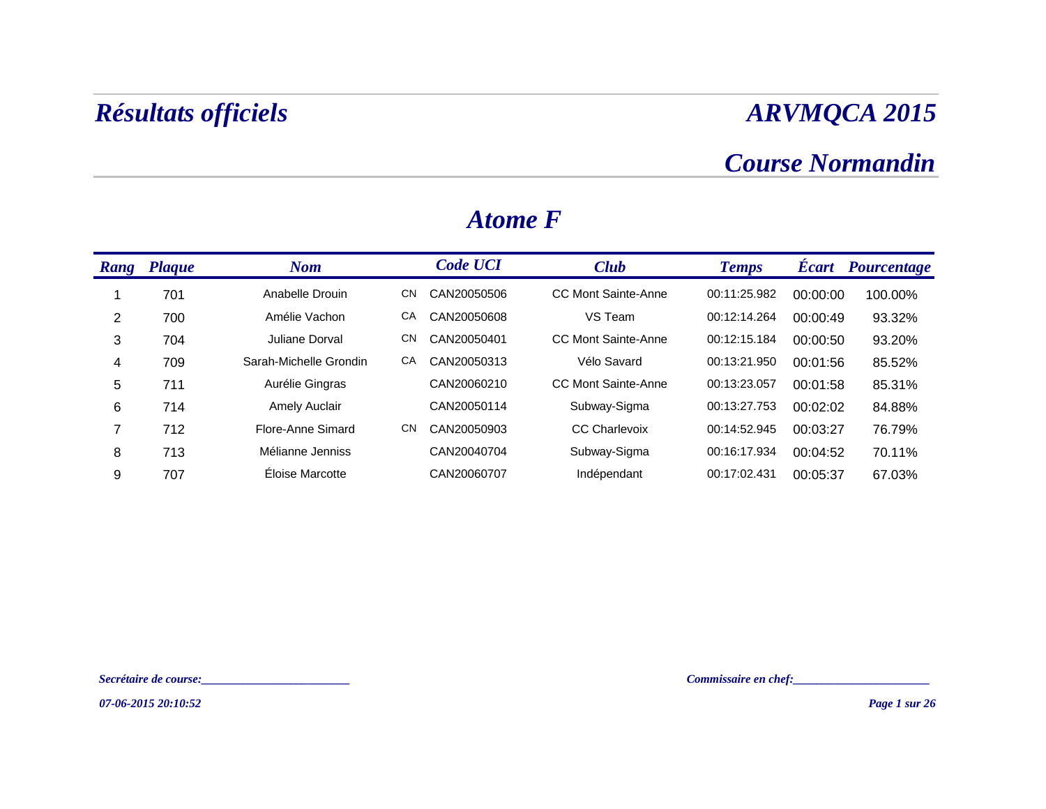### *Course Normandin*

| Rang | <b>Plaque</b> | <b>Nom</b>             |           | <b>Code UCI</b> | <b>Club</b>          | <b>Temps</b> | <b>Écart</b> | <b>Pourcentage</b> |
|------|---------------|------------------------|-----------|-----------------|----------------------|--------------|--------------|--------------------|
|      | 701           | Anabelle Drouin        | CN        | CAN20050506     | CC Mont Sainte-Anne  | 00:11:25.982 | 00:00:00     | 100.00%            |
| 2    | 700           | Amélie Vachon          | СA        | CAN20050608     | VS Team              | 00:12:14.264 | 00:00:49     | 93.32%             |
| 3    | 704           | Juliane Dorval         | <b>CN</b> | CAN20050401     | CC Mont Sainte-Anne  | 00:12:15.184 | 00:00:50     | 93.20%             |
| 4    | 709           | Sarah-Michelle Grondin | CA        | CAN20050313     | Vélo Savard          | 00:13:21.950 | 00:01:56     | 85.52%             |
| 5    | 711           | Aurélie Gingras        |           | CAN20060210     | CC Mont Sainte-Anne  | 00:13:23.057 | 00:01:58     | 85.31%             |
| 6    | 714           | <b>Amely Auclair</b>   |           | CAN20050114     | Subway-Sigma         | 00:13:27.753 | 00:02:02     | 84.88%             |
| 7    | 712           | Flore-Anne Simard      | <b>CN</b> | CAN20050903     | <b>CC Charlevoix</b> | 00:14:52.945 | 00:03:27     | 76.79%             |
| 8    | 713           | Mélianne Jenniss       |           | CAN20040704     | Subway-Sigma         | 00:16:17.934 | 00:04:52     | 70.11%             |
| 9    | 707           | Éloise Marcotte        |           | CAN20060707     | Indépendant          | 00:17:02.431 | 00:05:37     | 67.03%             |

#### *Atome F*

*Secrétaire de course:\_\_\_\_\_\_\_\_\_\_\_\_\_\_\_\_\_\_\_\_\_\_\_\_\_ Commissaire en chef:\_\_\_\_\_\_\_\_\_\_\_\_\_\_\_\_\_\_\_\_\_\_\_*

*07-06-2015 20:10:52*

*Page 1 sur 26*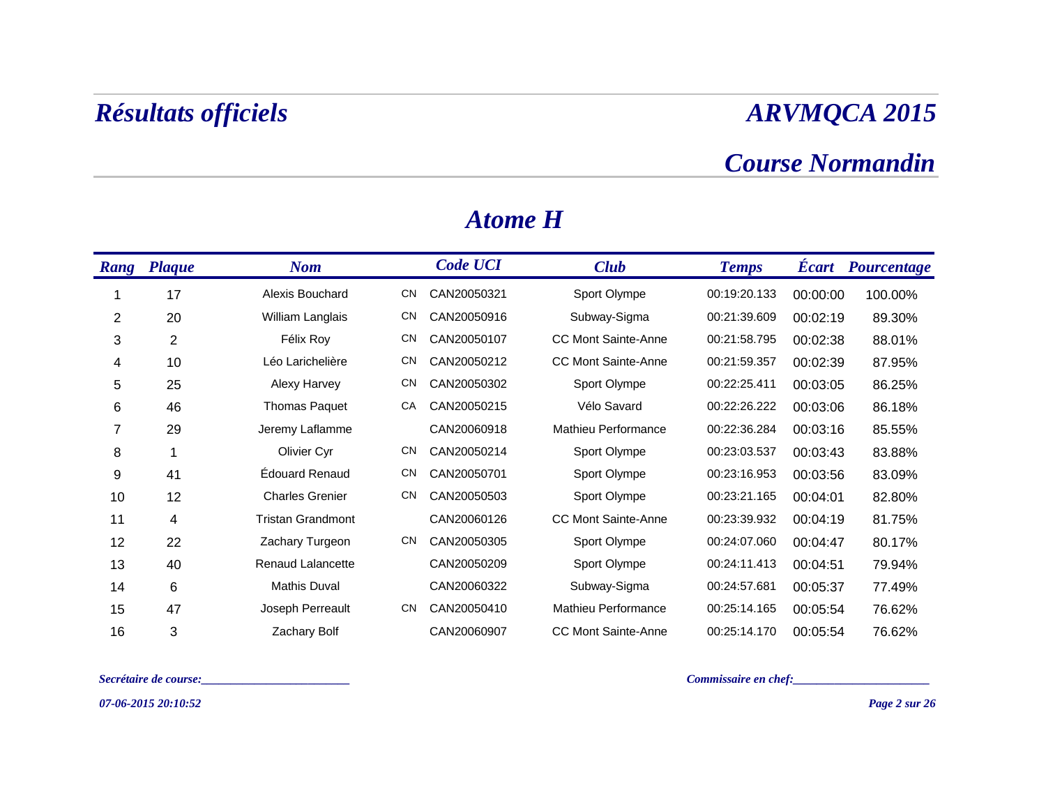### *Course Normandin*

| Rang | <b>Plaque</b>  | <b>Nom</b>               |           | <b>Code UCI</b> | <b>Club</b>                | <b>Temps</b> | <b>Ecart</b> | Pourcentage |
|------|----------------|--------------------------|-----------|-----------------|----------------------------|--------------|--------------|-------------|
|      | 17             | Alexis Bouchard          | CN        | CAN20050321     | Sport Olympe               | 00:19:20.133 | 00:00:00     | 100.00%     |
| 2    | 20             | William Langlais         | CN        | CAN20050916     | Subway-Sigma               | 00:21:39.609 | 00:02:19     | 89.30%      |
| 3    | $\overline{c}$ | Félix Roy                | <b>CN</b> | CAN20050107     | <b>CC Mont Sainte-Anne</b> | 00:21:58.795 | 00:02:38     | 88.01%      |
| 4    | 10             | Léo Larichelière         | <b>CN</b> | CAN20050212     | <b>CC Mont Sainte-Anne</b> | 00:21:59.357 | 00:02:39     | 87.95%      |
| 5    | 25             | Alexy Harvey             | <b>CN</b> | CAN20050302     | Sport Olympe               | 00:22:25.411 | 00:03:05     | 86.25%      |
| 6    | 46             | <b>Thomas Paquet</b>     | CA        | CAN20050215     | Vélo Savard                | 00:22:26.222 | 00:03:06     | 86.18%      |
| 7    | 29             | Jeremy Laflamme          |           | CAN20060918     | Mathieu Performance        | 00:22:36.284 | 00:03:16     | 85.55%      |
| 8    |                | Olivier Cyr              | <b>CN</b> | CAN20050214     | Sport Olympe               | 00:23:03.537 | 00:03:43     | 83.88%      |
| 9    | 41             | <b>Edouard Renaud</b>    | <b>CN</b> | CAN20050701     | Sport Olympe               | 00:23:16.953 | 00:03:56     | 83.09%      |
| 10   | 12             | <b>Charles Grenier</b>   | <b>CN</b> | CAN20050503     | Sport Olympe               | 00:23:21.165 | 00:04:01     | 82.80%      |
| 11   | 4              | <b>Tristan Grandmont</b> |           | CAN20060126     | <b>CC Mont Sainte-Anne</b> | 00:23:39.932 | 00:04:19     | 81.75%      |
| 12   | 22             | Zachary Turgeon          | <b>CN</b> | CAN20050305     | Sport Olympe               | 00:24:07.060 | 00:04:47     | 80.17%      |
| 13   | 40             | <b>Renaud Lalancette</b> |           | CAN20050209     | Sport Olympe               | 00:24:11.413 | 00:04:51     | 79.94%      |
| 14   | 6              | Mathis Duval             |           | CAN20060322     | Subway-Sigma               | 00:24:57.681 | 00:05:37     | 77.49%      |
| 15   | 47             | Joseph Perreault         | <b>CN</b> | CAN20050410     | Mathieu Performance        | 00:25:14.165 | 00:05:54     | 76.62%      |
| 16   | 3              | Zachary Bolf             |           | CAN20060907     | <b>CC Mont Sainte-Anne</b> | 00:25:14.170 | 00:05:54     | 76.62%      |

#### *Atome H*

*Secrétaire de course:\_\_\_\_\_\_\_\_\_\_\_\_\_\_\_\_\_\_\_\_\_\_\_\_\_ Commissaire en chef:\_\_\_\_\_\_\_\_\_\_\_\_\_\_\_\_\_\_\_\_\_\_\_*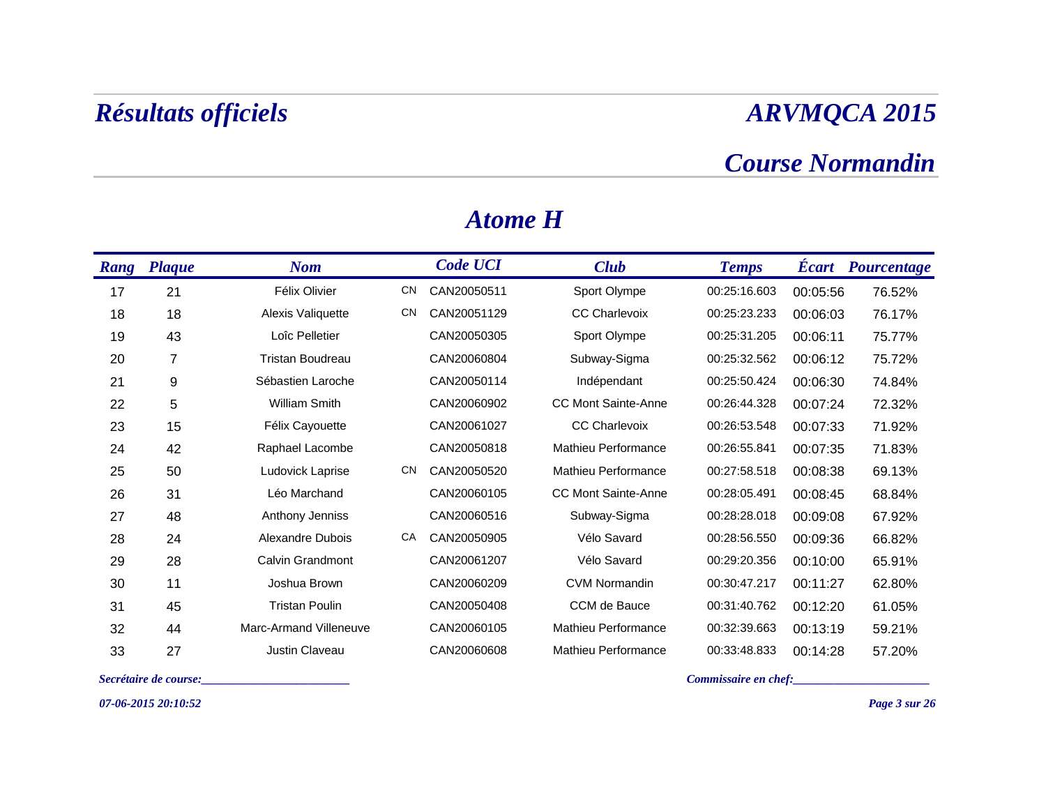### *Course Normandin*

| Rang | <b>Plaque</b> | <b>Nom</b>              |           | <b>Code UCI</b> | <b>Club</b>                | <b>Temps</b> | <b>Écart</b> | Pourcentage |
|------|---------------|-------------------------|-----------|-----------------|----------------------------|--------------|--------------|-------------|
| 17   | 21            | Félix Olivier           | CN        | CAN20050511     | Sport Olympe               | 00:25:16.603 | 00:05:56     | 76.52%      |
| 18   | 18            | Alexis Valiquette       | <b>CN</b> | CAN20051129     | <b>CC Charlevoix</b>       | 00:25:23.233 | 00:06:03     | 76.17%      |
| 19   | 43            | Loîc Pelletier          |           | CAN20050305     | Sport Olympe               | 00:25:31.205 | 00:06:11     | 75.77%      |
| 20   | 7             | <b>Tristan Boudreau</b> |           | CAN20060804     | Subway-Sigma               | 00:25:32.562 | 00:06:12     | 75.72%      |
| 21   | 9             | Sébastien Laroche       |           | CAN20050114     | Indépendant                | 00:25:50.424 | 00:06:30     | 74.84%      |
| 22   | 5             | <b>William Smith</b>    |           | CAN20060902     | <b>CC Mont Sainte-Anne</b> | 00:26:44.328 | 00:07:24     | 72.32%      |
| 23   | 15            | Félix Cayouette         |           | CAN20061027     | CC Charlevoix              | 00:26:53.548 | 00:07:33     | 71.92%      |
| 24   | 42            | Raphael Lacombe         |           | CAN20050818     | <b>Mathieu Performance</b> | 00:26:55.841 | 00:07:35     | 71.83%      |
| 25   | 50            | Ludovick Laprise        | <b>CN</b> | CAN20050520     | <b>Mathieu Performance</b> | 00:27:58.518 | 00:08:38     | 69.13%      |
| 26   | 31            | Léo Marchand            |           | CAN20060105     | <b>CC Mont Sainte-Anne</b> | 00:28:05.491 | 00:08:45     | 68.84%      |
| 27   | 48            | Anthony Jenniss         |           | CAN20060516     | Subway-Sigma               | 00:28:28.018 | 00:09:08     | 67.92%      |
| 28   | 24            | Alexandre Dubois        | CA        | CAN20050905     | Vélo Savard                | 00:28:56.550 | 00:09:36     | 66.82%      |
| 29   | 28            | Calvin Grandmont        |           | CAN20061207     | Vélo Savard                | 00:29:20.356 | 00:10:00     | 65.91%      |
| 30   | 11            | Joshua Brown            |           | CAN20060209     | <b>CVM Normandin</b>       | 00:30:47.217 | 00:11:27     | 62.80%      |
| 31   | 45            | <b>Tristan Poulin</b>   |           | CAN20050408     | CCM de Bauce               | 00:31:40.762 | 00:12:20     | 61.05%      |
| 32   | 44            | Marc-Armand Villeneuve  |           | CAN20060105     | <b>Mathieu Performance</b> | 00:32:39.663 | 00:13:19     | 59.21%      |
| 33   | 27            | Justin Claveau          |           | CAN20060608     | <b>Mathieu Performance</b> | 00:33:48.833 | 00:14:28     | 57.20%      |

#### *Atome H*

*07-06-2015 20:10:52*

*Secrétaire de course:\_\_\_\_\_\_\_\_\_\_\_\_\_\_\_\_\_\_\_\_\_\_\_\_\_ Commissaire en chef:\_\_\_\_\_\_\_\_\_\_\_\_\_\_\_\_\_\_\_\_\_\_\_*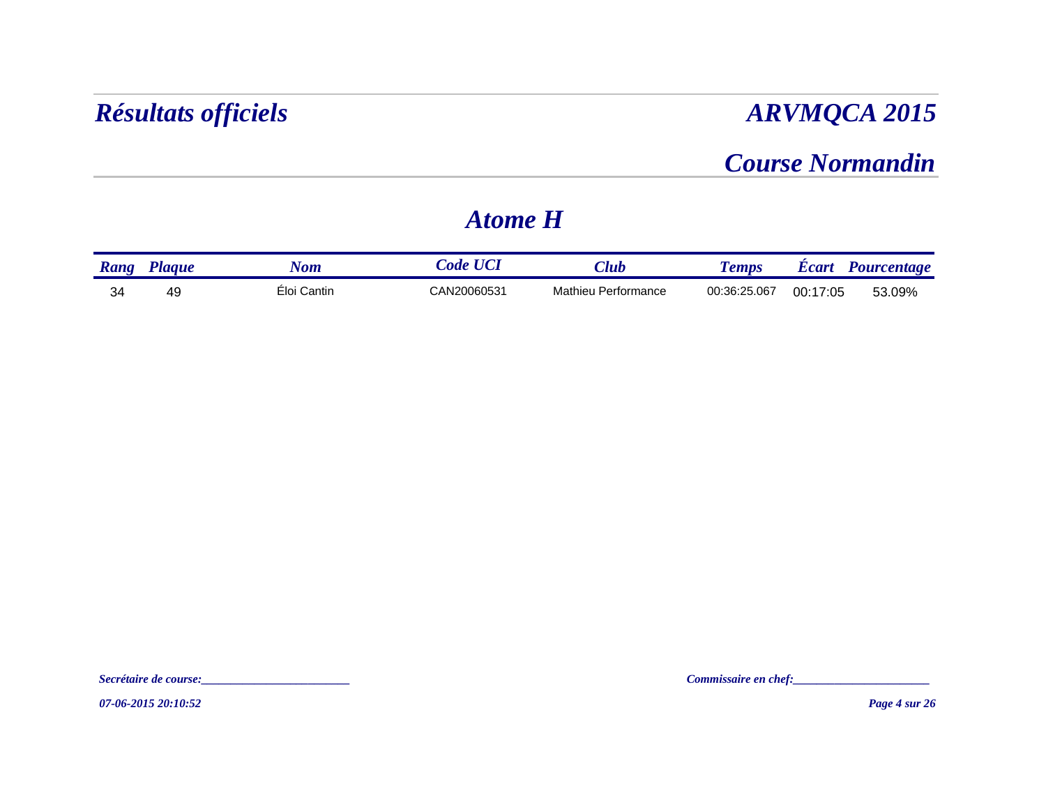### *Course Normandin*

### *Atome H*

| Rang | 'lague | $\sqrt{om}$ | ode         | $7$ lu $\bm{b}$     | <i>emps</i>  | dicart   | Pourcentage |
|------|--------|-------------|-------------|---------------------|--------------|----------|-------------|
| 34   | 49     | Eloi Cantin | CAN20060531 | Mathieu Performance | 00:36:25.067 | 00:17:05 | 53.09%      |

*07-06-2015 20:10:52*

*Secrétaire de course:\_\_\_\_\_\_\_\_\_\_\_\_\_\_\_\_\_\_\_\_\_\_\_\_\_ Commissaire en chef:\_\_\_\_\_\_\_\_\_\_\_\_\_\_\_\_\_\_\_\_\_\_\_*

*Page 4 sur 26*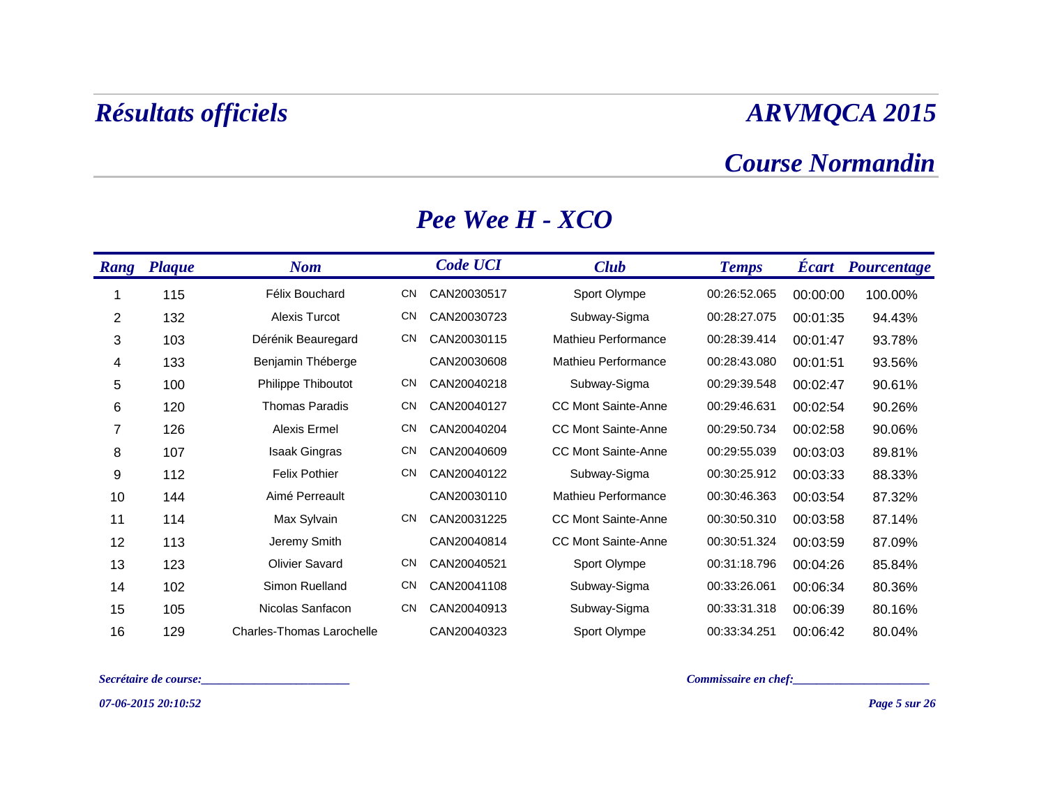#### *Course Normandin*

| Rang           | <b>Plaque</b> | <b>Nom</b>                       |           | <b>Code UCI</b> | <b>Club</b>                | <b>Temps</b> | <b>Ecart</b> | Pourcentage |
|----------------|---------------|----------------------------------|-----------|-----------------|----------------------------|--------------|--------------|-------------|
|                | 115           | Félix Bouchard                   | CN        | CAN20030517     | Sport Olympe               | 00:26:52.065 | 00:00:00     | 100.00%     |
| $\overline{2}$ | 132           | <b>Alexis Turcot</b>             | CN        | CAN20030723     | Subway-Sigma               | 00:28:27.075 | 00:01:35     | 94.43%      |
| 3              | 103           | Dérénik Beauregard               | <b>CN</b> | CAN20030115     | Mathieu Performance        | 00:28:39.414 | 00:01:47     | 93.78%      |
| 4              | 133           | Benjamin Théberge                |           | CAN20030608     | Mathieu Performance        | 00:28:43.080 | 00:01:51     | 93.56%      |
| 5              | 100           | Philippe Thiboutot               | <b>CN</b> | CAN20040218     | Subway-Sigma               | 00:29:39.548 | 00:02:47     | 90.61%      |
| 6              | 120           | <b>Thomas Paradis</b>            | <b>CN</b> | CAN20040127     | <b>CC Mont Sainte-Anne</b> | 00:29:46.631 | 00:02:54     | 90.26%      |
| 7              | 126           | Alexis Ermel                     | <b>CN</b> | CAN20040204     | <b>CC Mont Sainte-Anne</b> | 00:29:50.734 | 00:02:58     | 90.06%      |
| 8              | 107           | <b>Isaak Gingras</b>             | <b>CN</b> | CAN20040609     | <b>CC Mont Sainte-Anne</b> | 00:29:55.039 | 00:03:03     | 89.81%      |
| 9              | 112           | <b>Felix Pothier</b>             | <b>CN</b> | CAN20040122     | Subway-Sigma               | 00:30:25.912 | 00:03:33     | 88.33%      |
| 10             | 144           | Aimé Perreault                   |           | CAN20030110     | Mathieu Performance        | 00:30:46.363 | 00:03:54     | 87.32%      |
| 11             | 114           | Max Sylvain                      | <b>CN</b> | CAN20031225     | <b>CC Mont Sainte-Anne</b> | 00:30:50.310 | 00:03:58     | 87.14%      |
| 12             | 113           | Jeremy Smith                     |           | CAN20040814     | <b>CC Mont Sainte-Anne</b> | 00:30:51.324 | 00:03:59     | 87.09%      |
| 13             | 123           | <b>Olivier Savard</b>            | <b>CN</b> | CAN20040521     | Sport Olympe               | 00:31:18.796 | 00:04:26     | 85.84%      |
| 14             | 102           | Simon Ruelland                   | <b>CN</b> | CAN20041108     | Subway-Sigma               | 00:33:26.061 | 00:06:34     | 80.36%      |
| 15             | 105           | Nicolas Sanfacon                 | <b>CN</b> | CAN20040913     | Subway-Sigma               | 00:33:31.318 | 00:06:39     | 80.16%      |
| 16             | 129           | <b>Charles-Thomas Larochelle</b> |           | CAN20040323     | Sport Olympe               | 00:33:34.251 | 00:06:42     | 80.04%      |

#### *Pee Wee H - XCO*

*Secrétaire de course:\_\_\_\_\_\_\_\_\_\_\_\_\_\_\_\_\_\_\_\_\_\_\_\_\_ Commissaire en chef:\_\_\_\_\_\_\_\_\_\_\_\_\_\_\_\_\_\_\_\_\_\_\_*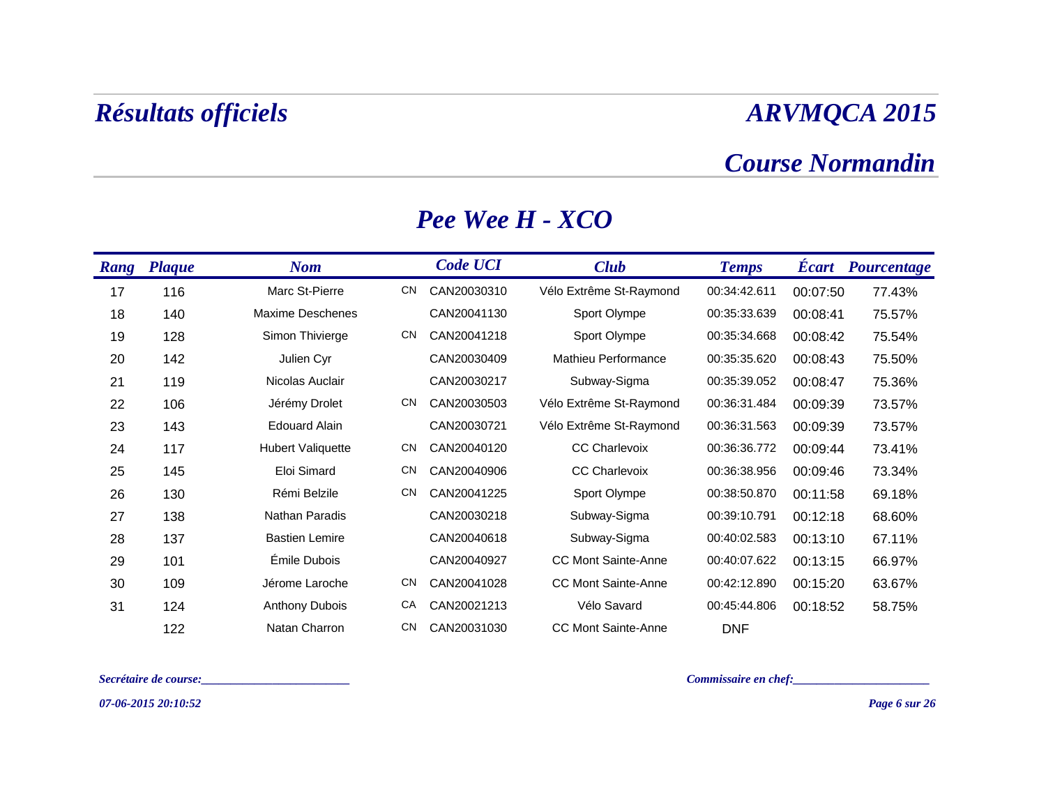#### *Course Normandin*

| Rang | <b>Plaque</b> | <b>Nom</b>               |           | <b>Code UCI</b> | <b>Club</b>                | <b>Temps</b> | <b>Ecart</b> | Pourcentage |
|------|---------------|--------------------------|-----------|-----------------|----------------------------|--------------|--------------|-------------|
| 17   | 116           | Marc St-Pierre           | <b>CN</b> | CAN20030310     | Vélo Extrême St-Raymond    | 00:34:42.611 | 00:07:50     | 77.43%      |
| 18   | 140           | <b>Maxime Deschenes</b>  |           | CAN20041130     | Sport Olympe               | 00:35:33.639 | 00:08:41     | 75.57%      |
| 19   | 128           | Simon Thivierge          | <b>CN</b> | CAN20041218     | Sport Olympe               | 00:35:34.668 | 00:08:42     | 75.54%      |
| 20   | 142           | Julien Cyr               |           | CAN20030409     | Mathieu Performance        | 00:35:35.620 | 00:08:43     | 75.50%      |
| 21   | 119           | Nicolas Auclair          |           | CAN20030217     | Subway-Sigma               | 00:35:39.052 | 00:08:47     | 75.36%      |
| 22   | 106           | Jérémy Drolet            | <b>CN</b> | CAN20030503     | Vélo Extrême St-Raymond    | 00:36:31.484 | 00:09:39     | 73.57%      |
| 23   | 143           | <b>Edouard Alain</b>     |           | CAN20030721     | Vélo Extrême St-Raymond    | 00:36:31.563 | 00:09:39     | 73.57%      |
| 24   | 117           | <b>Hubert Valiquette</b> | <b>CN</b> | CAN20040120     | <b>CC Charlevoix</b>       | 00:36:36.772 | 00:09:44     | 73.41%      |
| 25   | 145           | Eloi Simard              | <b>CN</b> | CAN20040906     | <b>CC Charlevoix</b>       | 00:36:38.956 | 00:09:46     | 73.34%      |
| 26   | 130           | Rémi Belzile             | <b>CN</b> | CAN20041225     | Sport Olympe               | 00:38:50.870 | 00:11:58     | 69.18%      |
| 27   | 138           | Nathan Paradis           |           | CAN20030218     | Subway-Sigma               | 00:39:10.791 | 00:12:18     | 68.60%      |
| 28   | 137           | <b>Bastien Lemire</b>    |           | CAN20040618     | Subway-Sigma               | 00:40:02.583 | 00:13:10     | 67.11%      |
| 29   | 101           | Émile Dubois             |           | CAN20040927     | <b>CC Mont Sainte-Anne</b> | 00:40:07.622 | 00:13:15     | 66.97%      |
| 30   | 109           | Jérome Laroche           | <b>CN</b> | CAN20041028     | <b>CC Mont Sainte-Anne</b> | 00:42:12.890 | 00:15:20     | 63.67%      |
| 31   | 124           | <b>Anthony Dubois</b>    | CA        | CAN20021213     | Vélo Savard                | 00:45:44.806 | 00:18:52     | 58.75%      |
|      | 122           | Natan Charron            | <b>CN</b> | CAN20031030     | <b>CC Mont Sainte-Anne</b> | <b>DNF</b>   |              |             |

#### *Pee Wee H - XCO*

*Secrétaire de course:\_\_\_\_\_\_\_\_\_\_\_\_\_\_\_\_\_\_\_\_\_\_\_\_\_ Commissaire en chef:\_\_\_\_\_\_\_\_\_\_\_\_\_\_\_\_\_\_\_\_\_\_\_*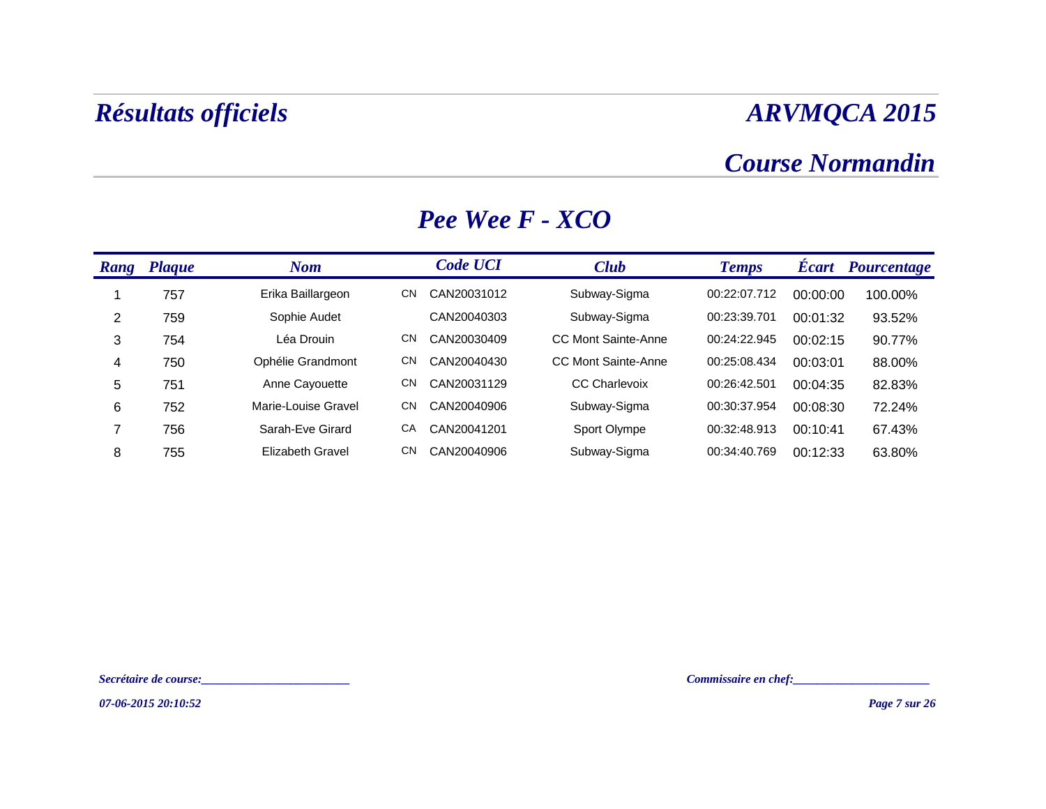### *Course Normandin*

| Rang | <b>Plaque</b> | <b>Nom</b>              |     | <b>Code UCI</b> | <b>Club</b>                | <b>Temps</b> | <b>Ecart</b> | <b>Pourcentage</b> |
|------|---------------|-------------------------|-----|-----------------|----------------------------|--------------|--------------|--------------------|
|      | 757           | Erika Baillargeon       | CN  | CAN20031012     | Subway-Sigma               | 00:22:07.712 | 00:00:00     | 100.00%            |
| 2    | 759           | Sophie Audet            |     | CAN20040303     | Subway-Sigma               | 00:23:39.701 | 00:01:32     | 93.52%             |
| 3    | 754           | Léa Drouin              | CN  | CAN20030409     | <b>CC Mont Sainte-Anne</b> | 00:24:22.945 | 00:02:15     | 90.77%             |
| 4    | 750           | Ophélie Grandmont       | CN  | CAN20040430     | CC Mont Sainte-Anne        | 00:25:08.434 | 00:03:01     | 88.00%             |
| 5    | 751           | Anne Cayouette          | CN  | CAN20031129     | <b>CC Charlevoix</b>       | 00:26:42.501 | 00:04:35     | 82.83%             |
| 6    | 752           | Marie-Louise Gravel     | CN. | CAN20040906     | Subway-Sigma               | 00:30:37.954 | 00:08:30     | 72.24%             |
| ⇁    | 756           | Sarah-Eve Girard        | CA  | CAN20041201     | Sport Olympe               | 00:32:48.913 | 00:10:41     | 67.43%             |
| 8    | 755           | <b>Elizabeth Gravel</b> | CN  | CAN20040906     | Subway-Sigma               | 00:34:40.769 | 00:12:33     | 63.80%             |

#### *Pee Wee F - XCO*

*Secrétaire de course:\_\_\_\_\_\_\_\_\_\_\_\_\_\_\_\_\_\_\_\_\_\_\_\_\_ Commissaire en chef:\_\_\_\_\_\_\_\_\_\_\_\_\_\_\_\_\_\_\_\_\_\_\_*

*07-06-2015 20:10:52*

*Page 7 sur 26*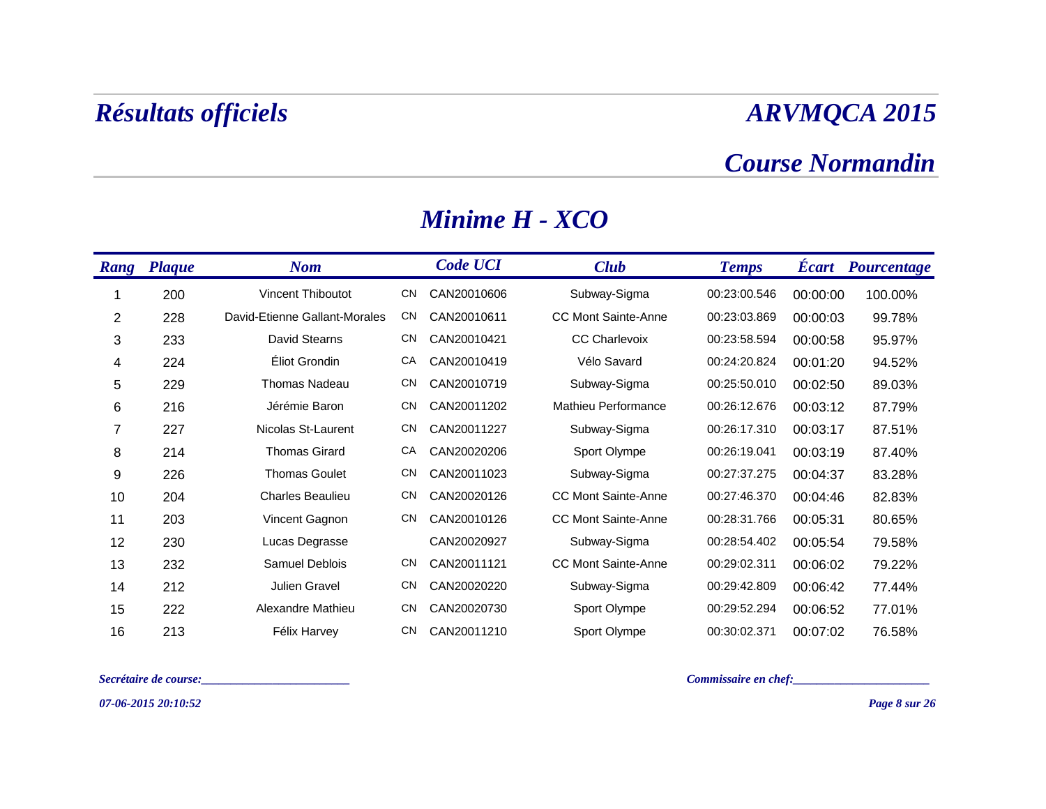#### *Course Normandin*

| Rang           | <b>Plaque</b> | <b>Nom</b>                    |           | <b>Code UCI</b> | <b>Club</b>                | <b>Temps</b> | <b>Ecart</b> | <i>Pourcentage</i> |
|----------------|---------------|-------------------------------|-----------|-----------------|----------------------------|--------------|--------------|--------------------|
|                | 200           | Vincent Thiboutot             | <b>CN</b> | CAN20010606     | Subway-Sigma               | 00:23:00.546 | 00:00:00     | 100.00%            |
| $\overline{2}$ | 228           | David-Etienne Gallant-Morales | <b>CN</b> | CAN20010611     | <b>CC Mont Sainte-Anne</b> | 00:23:03.869 | 00:00:03     | 99.78%             |
| 3              | 233           | David Stearns                 | <b>CN</b> | CAN20010421     | <b>CC Charlevoix</b>       | 00:23:58.594 | 00:00:58     | 95.97%             |
| 4              | 224           | Éliot Grondin                 | CA        | CAN20010419     | Vélo Savard                | 00:24:20.824 | 00:01:20     | 94.52%             |
| 5              | 229           | Thomas Nadeau                 | <b>CN</b> | CAN20010719     | Subway-Sigma               | 00:25:50.010 | 00:02:50     | 89.03%             |
| 6              | 216           | Jérémie Baron                 | <b>CN</b> | CAN20011202     | Mathieu Performance        | 00:26:12.676 | 00:03:12     | 87.79%             |
| 7              | 227           | Nicolas St-Laurent            | <b>CN</b> | CAN20011227     | Subway-Sigma               | 00:26:17.310 | 00:03:17     | 87.51%             |
| 8              | 214           | <b>Thomas Girard</b>          | CA        | CAN20020206     | Sport Olympe               | 00:26:19.041 | 00:03:19     | 87.40%             |
| 9              | 226           | <b>Thomas Goulet</b>          | <b>CN</b> | CAN20011023     | Subway-Sigma               | 00:27:37.275 | 00:04:37     | 83.28%             |
| 10             | 204           | <b>Charles Beaulieu</b>       | <b>CN</b> | CAN20020126     | CC Mont Sainte-Anne        | 00:27:46.370 | 00:04:46     | 82.83%             |
| 11             | 203           | Vincent Gagnon                | CΝ        | CAN20010126     | <b>CC Mont Sainte-Anne</b> | 00:28:31.766 | 00:05:31     | 80.65%             |
| 12             | 230           | Lucas Degrasse                |           | CAN20020927     | Subway-Sigma               | 00:28:54.402 | 00:05:54     | 79.58%             |
| 13             | 232           | Samuel Deblois                | <b>CN</b> | CAN20011121     | <b>CC Mont Sainte-Anne</b> | 00:29:02.311 | 00:06:02     | 79.22%             |
| 14             | 212           | Julien Gravel                 | CN        | CAN20020220     | Subway-Sigma               | 00:29:42.809 | 00:06:42     | 77.44%             |
| 15             | 222           | Alexandre Mathieu             | <b>CN</b> | CAN20020730     | Sport Olympe               | 00:29:52.294 | 00:06:52     | 77.01%             |
| 16             | 213           | Félix Harvey                  | CN        | CAN20011210     | Sport Olympe               | 00:30:02.371 | 00:07:02     | 76.58%             |

#### *Minime H - XCO*

*Secrétaire de course:\_\_\_\_\_\_\_\_\_\_\_\_\_\_\_\_\_\_\_\_\_\_\_\_\_ Commissaire en chef:\_\_\_\_\_\_\_\_\_\_\_\_\_\_\_\_\_\_\_\_\_\_\_*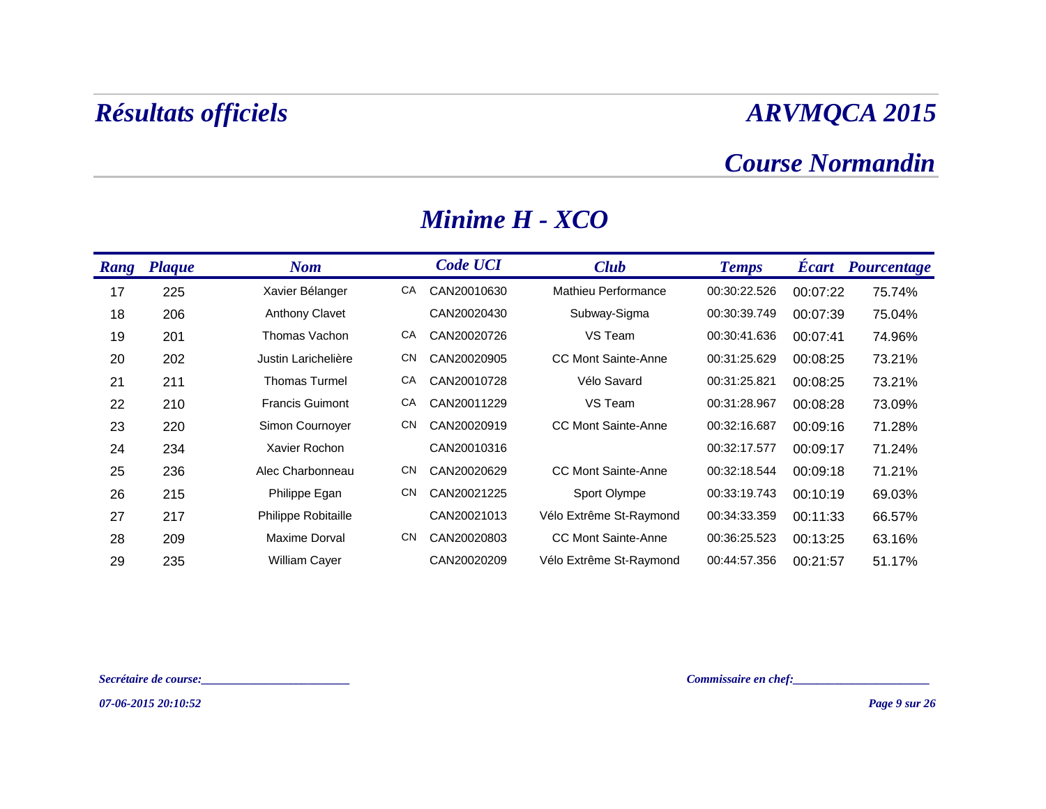#### *Course Normandin*

| <b>Rang</b> | <b>Plaque</b> | <b>Nom</b>             |           | <b>Code UCI</b> | <b>Club</b>                | <b>Temps</b> | <b>Ecart</b> | Pourcentage |
|-------------|---------------|------------------------|-----------|-----------------|----------------------------|--------------|--------------|-------------|
| 17          | 225           | Xavier Bélanger        | СA        | CAN20010630     | Mathieu Performance        | 00:30:22.526 | 00:07:22     | 75.74%      |
| 18          | 206           | <b>Anthony Clavet</b>  |           | CAN20020430     | Subway-Sigma               | 00:30:39.749 | 00:07:39     | 75.04%      |
| 19          | 201           | Thomas Vachon          | СA        | CAN20020726     | VS Team                    | 00:30:41.636 | 00:07:41     | 74.96%      |
| 20          | 202           | Justin Larichelière    | <b>CN</b> | CAN20020905     | <b>CC Mont Sainte-Anne</b> | 00:31:25.629 | 00:08:25     | 73.21%      |
| 21          | 211           | <b>Thomas Turmel</b>   | CA        | CAN20010728     | Vélo Savard                | 00:31:25.821 | 00:08:25     | 73.21%      |
| 22          | 210           | <b>Francis Guimont</b> | СA        | CAN20011229     | VS Team                    | 00:31:28.967 | 00:08:28     | 73.09%      |
| 23          | 220           | Simon Cournoyer        | <b>CN</b> | CAN20020919     | <b>CC Mont Sainte-Anne</b> | 00:32:16.687 | 00:09:16     | 71.28%      |
| 24          | 234           | Xavier Rochon          |           | CAN20010316     |                            | 00:32:17.577 | 00:09:17     | 71.24%      |
| 25          | 236           | Alec Charbonneau       | <b>CN</b> | CAN20020629     | <b>CC Mont Sainte-Anne</b> | 00:32:18.544 | 00:09:18     | 71.21%      |
| 26          | 215           | Philippe Egan          | CN        | CAN20021225     | Sport Olympe               | 00:33:19.743 | 00:10:19     | 69.03%      |
| 27          | 217           | Philippe Robitaille    |           | CAN20021013     | Vélo Extrême St-Raymond    | 00:34:33.359 | 00:11:33     | 66.57%      |
| 28          | 209           | Maxime Dorval          | <b>CN</b> | CAN20020803     | <b>CC Mont Sainte-Anne</b> | 00:36:25.523 | 00:13:25     | 63.16%      |
| 29          | 235           | <b>William Cayer</b>   |           | CAN20020209     | Vélo Extrême St-Raymond    | 00:44:57.356 | 00:21:57     | 51.17%      |

#### *Minime H - XCO*

*Secrétaire de course:\_\_\_\_\_\_\_\_\_\_\_\_\_\_\_\_\_\_\_\_\_\_\_\_\_ Commissaire en chef:\_\_\_\_\_\_\_\_\_\_\_\_\_\_\_\_\_\_\_\_\_\_\_*

*07-06-2015 20:10:52*

*Page 9 sur 26*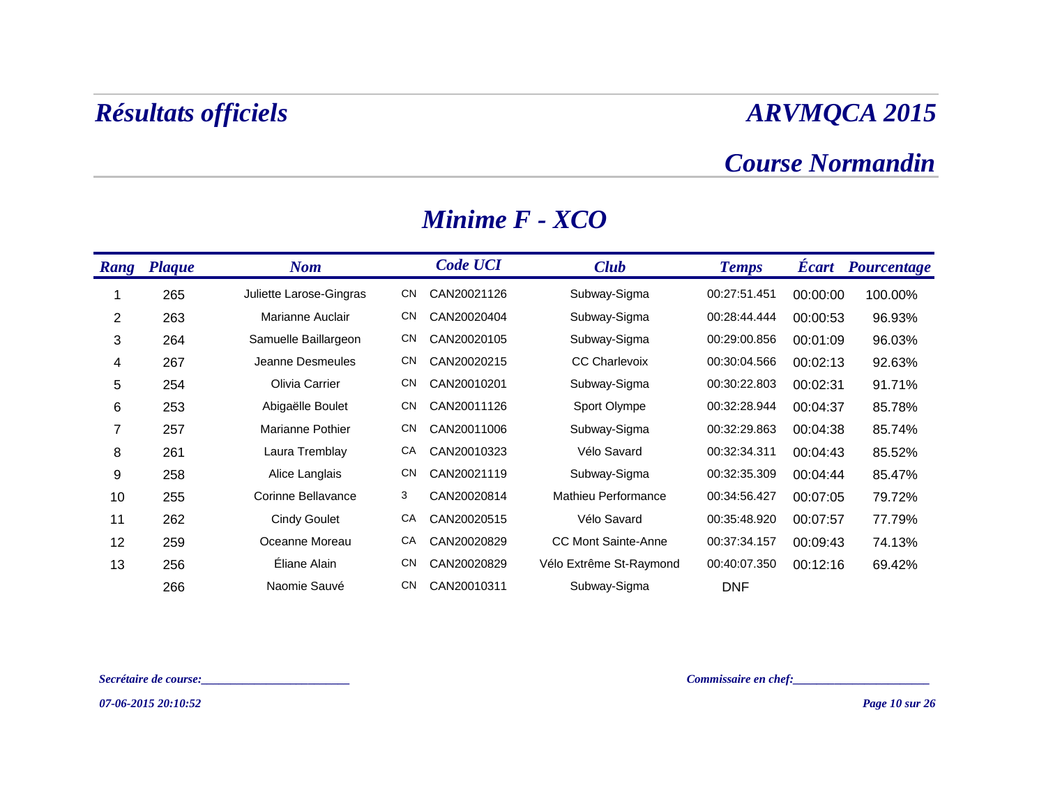#### *Course Normandin*

| <b>Rang</b> | <b>Plaque</b> | <b>Nom</b>              |           | <b>Code UCI</b> | <b>Club</b>                | <b>Temps</b> | <b>Ecart</b> | Pourcentage |
|-------------|---------------|-------------------------|-----------|-----------------|----------------------------|--------------|--------------|-------------|
|             | 265           | Juliette Larose-Gingras | CN        | CAN20021126     | Subway-Sigma               | 00:27:51.451 | 00:00:00     | 100.00%     |
| 2           | 263           | Marianne Auclair        | <b>CN</b> | CAN20020404     | Subway-Sigma               | 00:28:44.444 | 00:00:53     | 96.93%      |
| 3           | 264           | Samuelle Baillargeon    | <b>CN</b> | CAN20020105     | Subway-Sigma               | 00:29:00.856 | 00:01:09     | 96.03%      |
| 4           | 267           | Jeanne Desmeules        | <b>CN</b> | CAN20020215     | <b>CC Charlevoix</b>       | 00:30:04.566 | 00:02:13     | 92.63%      |
| 5           | 254           | Olivia Carrier          | <b>CN</b> | CAN20010201     | Subway-Sigma               | 00:30:22.803 | 00:02:31     | 91.71%      |
| 6           | 253           | Abigaëlle Boulet        | <b>CN</b> | CAN20011126     | Sport Olympe               | 00:32:28.944 | 00:04:37     | 85.78%      |
| 7           | 257           | Marianne Pothier        | <b>CN</b> | CAN20011006     | Subway-Sigma               | 00:32:29.863 | 00:04:38     | 85.74%      |
| 8           | 261           | Laura Tremblay          | CA        | CAN20010323     | Vélo Savard                | 00:32:34.311 | 00:04:43     | 85.52%      |
| 9           | 258           | Alice Langlais          | <b>CN</b> | CAN20021119     | Subway-Sigma               | 00:32:35.309 | 00:04:44     | 85.47%      |
| 10          | 255           | Corinne Bellavance      | 3         | CAN20020814     | Mathieu Performance        | 00:34:56.427 | 00:07:05     | 79.72%      |
| 11          | 262           | <b>Cindy Goulet</b>     | CA        | CAN20020515     | Vélo Savard                | 00:35:48.920 | 00:07:57     | 77.79%      |
| 12          | 259           | Oceanne Moreau          | CA        | CAN20020829     | <b>CC Mont Sainte-Anne</b> | 00:37:34.157 | 00:09:43     | 74.13%      |
| 13          | 256           | Éliane Alain            | <b>CN</b> | CAN20020829     | Vélo Extrême St-Raymond    | 00:40:07.350 | 00:12:16     | 69.42%      |
|             | 266           | Naomie Sauvé            | CΝ        | CAN20010311     | Subway-Sigma               | <b>DNF</b>   |              |             |

#### *Minime F - XCO*

*Secrétaire de course:\_\_\_\_\_\_\_\_\_\_\_\_\_\_\_\_\_\_\_\_\_\_\_\_\_ Commissaire en chef:\_\_\_\_\_\_\_\_\_\_\_\_\_\_\_\_\_\_\_\_\_\_\_*

*07-06-2015 20:10:52*

*Page 10 sur 26*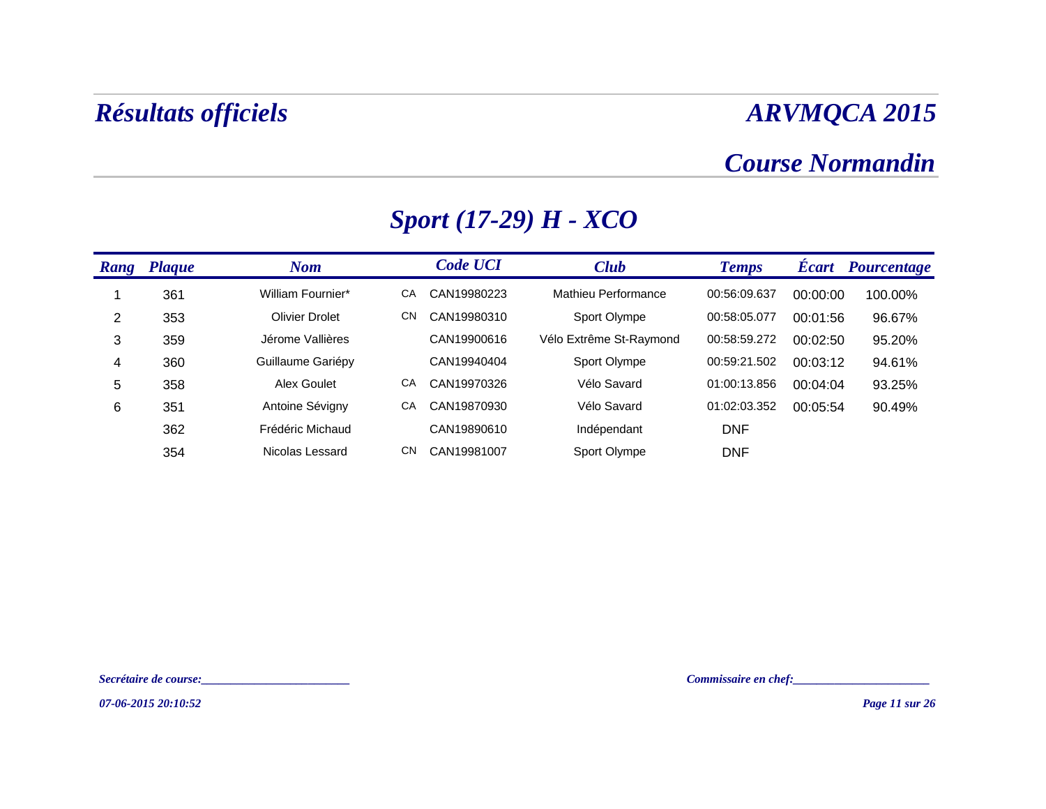### *Course Normandin*

| Rang | <b>Plaque</b> | <b>Nom</b>            |    | <b>Code UCI</b> | <b>Club</b>             | <b>Temps</b> | <b>Écart</b> | <b>Pourcentage</b> |
|------|---------------|-----------------------|----|-----------------|-------------------------|--------------|--------------|--------------------|
|      | 361           | William Fournier*     | СA | CAN19980223     | Mathieu Performance     | 00:56:09.637 | 00:00:00     | 100.00%            |
| 2    | 353           | <b>Olivier Drolet</b> | CN | CAN19980310     | Sport Olympe            | 00:58:05.077 | 00:01:56     | 96.67%             |
| 3    | 359           | Jérome Vallières      |    | CAN19900616     | Vélo Extrême St-Raymond | 00:58:59.272 | 00:02:50     | 95.20%             |
| 4    | 360           | Guillaume Gariépy     |    | CAN19940404     | Sport Olympe            | 00:59:21.502 | 00:03:12     | 94.61%             |
| 5    | 358           | Alex Goulet           | СA | CAN19970326     | Vélo Savard             | 01:00:13.856 | 00:04:04     | 93.25%             |
| 6    | 351           | Antoine Sévigny       | СA | CAN19870930     | Vélo Savard             | 01:02:03.352 | 00:05:54     | 90.49%             |
|      | 362           | Frédéric Michaud      |    | CAN19890610     | Indépendant             | <b>DNF</b>   |              |                    |
|      | 354           | Nicolas Lessard       | CN | CAN19981007     | Sport Olympe            | <b>DNF</b>   |              |                    |

## *Sport (17-29) H - XCO*

*07-06-2015 20:10:52*

*Secrétaire de course:\_\_\_\_\_\_\_\_\_\_\_\_\_\_\_\_\_\_\_\_\_\_\_\_\_ Commissaire en chef:\_\_\_\_\_\_\_\_\_\_\_\_\_\_\_\_\_\_\_\_\_\_\_*

*Page 11 sur 26*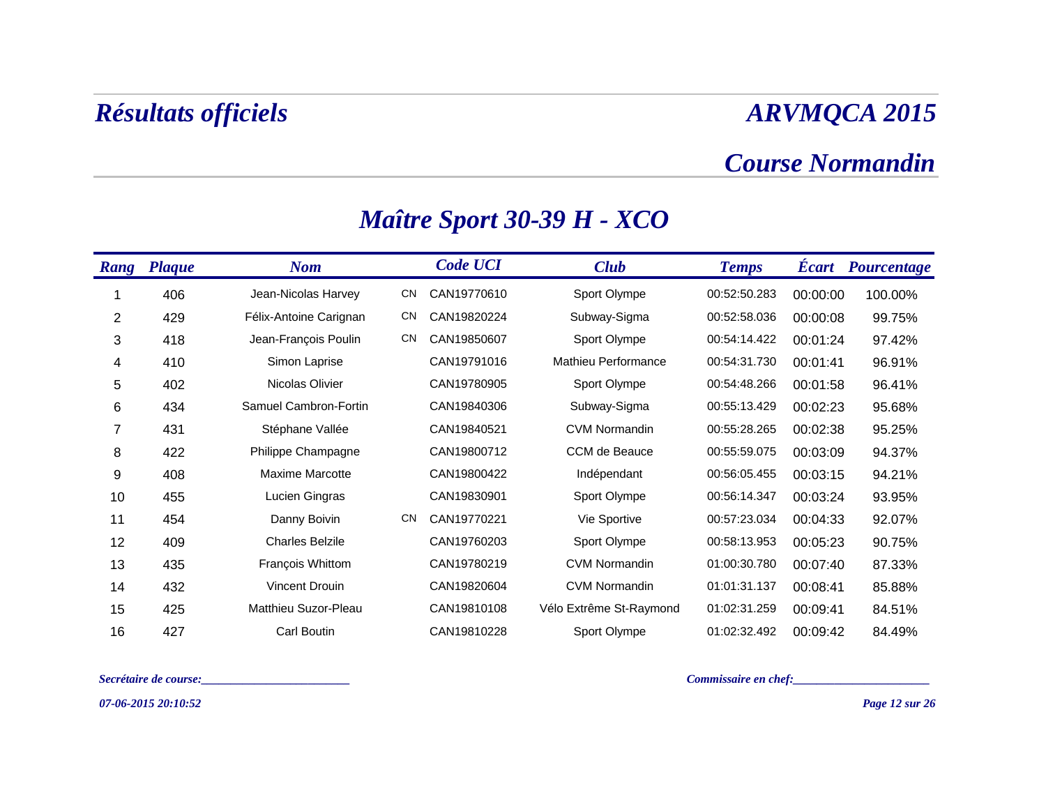### *Course Normandin*

| <b>Rang</b> | <b>Plaque</b> | <b>Nom</b>             |           | <b>Code UCI</b> | <b>Club</b>             | <b>Temps</b> | <b>Ecart</b> | Pourcentage |
|-------------|---------------|------------------------|-----------|-----------------|-------------------------|--------------|--------------|-------------|
|             | 406           | Jean-Nicolas Harvey    | <b>CN</b> | CAN19770610     | Sport Olympe            | 00:52:50.283 | 00:00:00     | 100.00%     |
| 2           | 429           | Félix-Antoine Carignan | <b>CN</b> | CAN19820224     | Subway-Sigma            | 00:52:58.036 | 00:00:08     | 99.75%      |
| 3           | 418           | Jean-François Poulin   | <b>CN</b> | CAN19850607     | Sport Olympe            | 00:54:14.422 | 00:01:24     | 97.42%      |
| 4           | 410           | Simon Laprise          |           | CAN19791016     | Mathieu Performance     | 00:54:31.730 | 00:01:41     | 96.91%      |
| 5           | 402           | Nicolas Olivier        |           | CAN19780905     | Sport Olympe            | 00:54:48.266 | 00:01:58     | 96.41%      |
| 6           | 434           | Samuel Cambron-Fortin  |           | CAN19840306     | Subway-Sigma            | 00:55:13.429 | 00:02:23     | 95.68%      |
| 7           | 431           | Stéphane Vallée        |           | CAN19840521     | <b>CVM Normandin</b>    | 00:55:28.265 | 00:02:38     | 95.25%      |
| 8           | 422           | Philippe Champagne     |           | CAN19800712     | CCM de Beauce           | 00:55:59.075 | 00:03:09     | 94.37%      |
| 9           | 408           | <b>Maxime Marcotte</b> |           | CAN19800422     | Indépendant             | 00:56:05.455 | 00:03:15     | 94.21%      |
| 10          | 455           | Lucien Gingras         |           | CAN19830901     | Sport Olympe            | 00:56:14.347 | 00:03:24     | 93.95%      |
| 11          | 454           | Danny Boivin           | <b>CN</b> | CAN19770221     | Vie Sportive            | 00:57:23.034 | 00:04:33     | 92.07%      |
| 12          | 409           | <b>Charles Belzile</b> |           | CAN19760203     | Sport Olympe            | 00:58:13.953 | 00:05:23     | 90.75%      |
| 13          | 435           | François Whittom       |           | CAN19780219     | <b>CVM Normandin</b>    | 01:00:30.780 | 00:07:40     | 87.33%      |
| 14          | 432           | Vincent Drouin         |           | CAN19820604     | <b>CVM Normandin</b>    | 01:01:31.137 | 00:08:41     | 85.88%      |
| 15          | 425           | Matthieu Suzor-Pleau   |           | CAN19810108     | Vélo Extrême St-Raymond | 01:02:31.259 | 00:09:41     | 84.51%      |
| 16          | 427           | Carl Boutin            |           | CAN19810228     | Sport Olympe            | 01:02:32.492 | 00:09:42     | 84.49%      |

## *Maître Sport 30-39 H - XCO*

*Secrétaire de course:\_\_\_\_\_\_\_\_\_\_\_\_\_\_\_\_\_\_\_\_\_\_\_\_\_ Commissaire en chef:\_\_\_\_\_\_\_\_\_\_\_\_\_\_\_\_\_\_\_\_\_\_\_*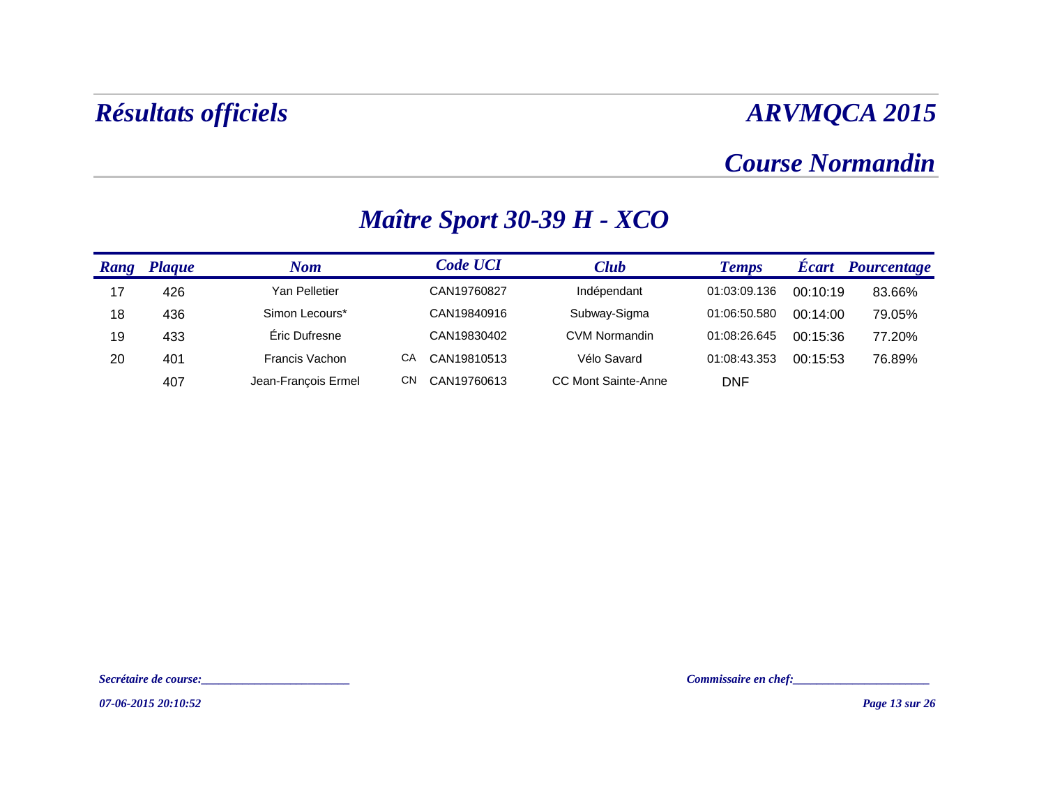### *Course Normandin*

| Rang | <b>Plaque</b> | Nom                   |    | <b>Code UCI</b> | Club                       | <b>Temps</b> | <b>Ecart</b> | Pourcentage |
|------|---------------|-----------------------|----|-----------------|----------------------------|--------------|--------------|-------------|
| 17   | 426           | Yan Pelletier         |    | CAN19760827     | Indépendant                | 01:03:09.136 | 00:10:19     | 83.66%      |
| 18   | 436           | Simon Lecours*        |    | CAN19840916     | Subway-Sigma               | 01:06:50.580 | 00:14:00     | 79.05%      |
| 19   | 433           | Éric Dufresne         |    | CAN19830402     | <b>CVM Normandin</b>       | 01:08:26.645 | 00:15:36     | 77.20%      |
| 20   | 401           | <b>Francis Vachon</b> | CА | CAN19810513     | Vélo Savard                | 01:08:43.353 | 00:15:53     | 76.89%      |
|      | 407           | Jean-François Ermel   | CΝ | CAN19760613     | <b>CC Mont Sainte-Anne</b> | <b>DNF</b>   |              |             |

## *Maître Sport 30-39 H - XCO*

*Secrétaire de course:\_\_\_\_\_\_\_\_\_\_\_\_\_\_\_\_\_\_\_\_\_\_\_\_\_ Commissaire en chef:\_\_\_\_\_\_\_\_\_\_\_\_\_\_\_\_\_\_\_\_\_\_\_*

*07-06-2015 20:10:52*

*Page 13 sur 26*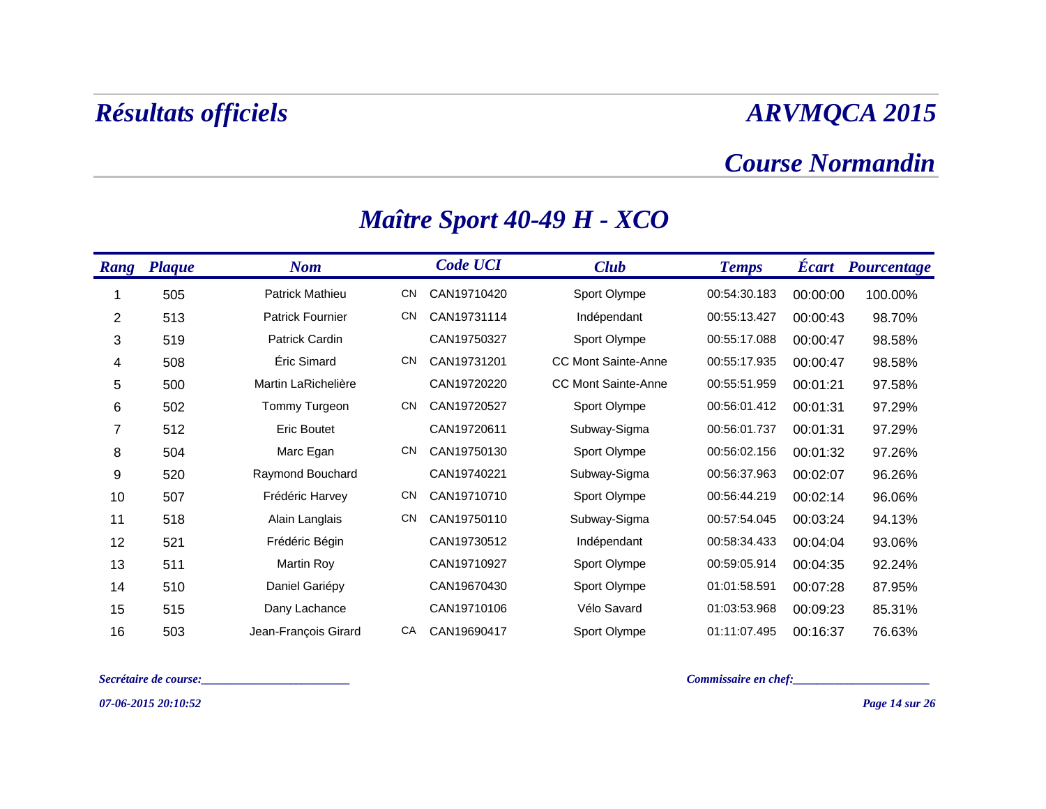### *Course Normandin*

| <b>Rang</b> | <b>Plaque</b> | <b>Nom</b>              |           | <b>Code UCI</b> | <b>Club</b>                | <b>Temps</b> | <b>Ecart</b> | Pourcentage |
|-------------|---------------|-------------------------|-----------|-----------------|----------------------------|--------------|--------------|-------------|
|             | 505           | Patrick Mathieu         | CN        | CAN19710420     | Sport Olympe               | 00:54:30.183 | 00:00:00     | 100.00%     |
| 2           | 513           | <b>Patrick Fournier</b> | <b>CN</b> | CAN19731114     | Indépendant                | 00:55:13.427 | 00:00:43     | 98.70%      |
| 3           | 519           | <b>Patrick Cardin</b>   |           | CAN19750327     | Sport Olympe               | 00:55:17.088 | 00:00:47     | 98.58%      |
| 4           | 508           | Eric Simard             | <b>CN</b> | CAN19731201     | <b>CC Mont Sainte-Anne</b> | 00:55:17.935 | 00:00:47     | 98.58%      |
| 5           | 500           | Martin LaRichelière     |           | CAN19720220     | <b>CC Mont Sainte-Anne</b> | 00:55:51.959 | 00:01:21     | 97.58%      |
| 6           | 502           | Tommy Turgeon           | <b>CN</b> | CAN19720527     | Sport Olympe               | 00:56:01.412 | 00:01:31     | 97.29%      |
| 7           | 512           | <b>Eric Boutet</b>      |           | CAN19720611     | Subway-Sigma               | 00:56:01.737 | 00:01:31     | 97.29%      |
| 8           | 504           | Marc Egan               | <b>CN</b> | CAN19750130     | Sport Olympe               | 00:56:02.156 | 00:01:32     | 97.26%      |
| 9           | 520           | Raymond Bouchard        |           | CAN19740221     | Subway-Sigma               | 00:56:37.963 | 00:02:07     | 96.26%      |
| 10          | 507           | Frédéric Harvey         | <b>CN</b> | CAN19710710     | Sport Olympe               | 00:56:44.219 | 00:02:14     | 96.06%      |
| 11          | 518           | Alain Langlais          | <b>CN</b> | CAN19750110     | Subway-Sigma               | 00:57:54.045 | 00:03:24     | 94.13%      |
| 12          | 521           | Frédéric Bégin          |           | CAN19730512     | Indépendant                | 00:58:34.433 | 00:04:04     | 93.06%      |
| 13          | 511           | Martin Roy              |           | CAN19710927     | Sport Olympe               | 00:59:05.914 | 00:04:35     | 92.24%      |
| 14          | 510           | Daniel Gariépy          |           | CAN19670430     | Sport Olympe               | 01:01:58.591 | 00:07:28     | 87.95%      |
| 15          | 515           | Dany Lachance           |           | CAN19710106     | Vélo Savard                | 01:03:53.968 | 00:09:23     | 85.31%      |
| 16          | 503           | Jean-François Girard    | CA        | CAN19690417     | Sport Olympe               | 01:11:07.495 | 00:16:37     | 76.63%      |

## *Maître Sport 40-49 H - XCO*

*Secrétaire de course:\_\_\_\_\_\_\_\_\_\_\_\_\_\_\_\_\_\_\_\_\_\_\_\_\_ Commissaire en chef:\_\_\_\_\_\_\_\_\_\_\_\_\_\_\_\_\_\_\_\_\_\_\_*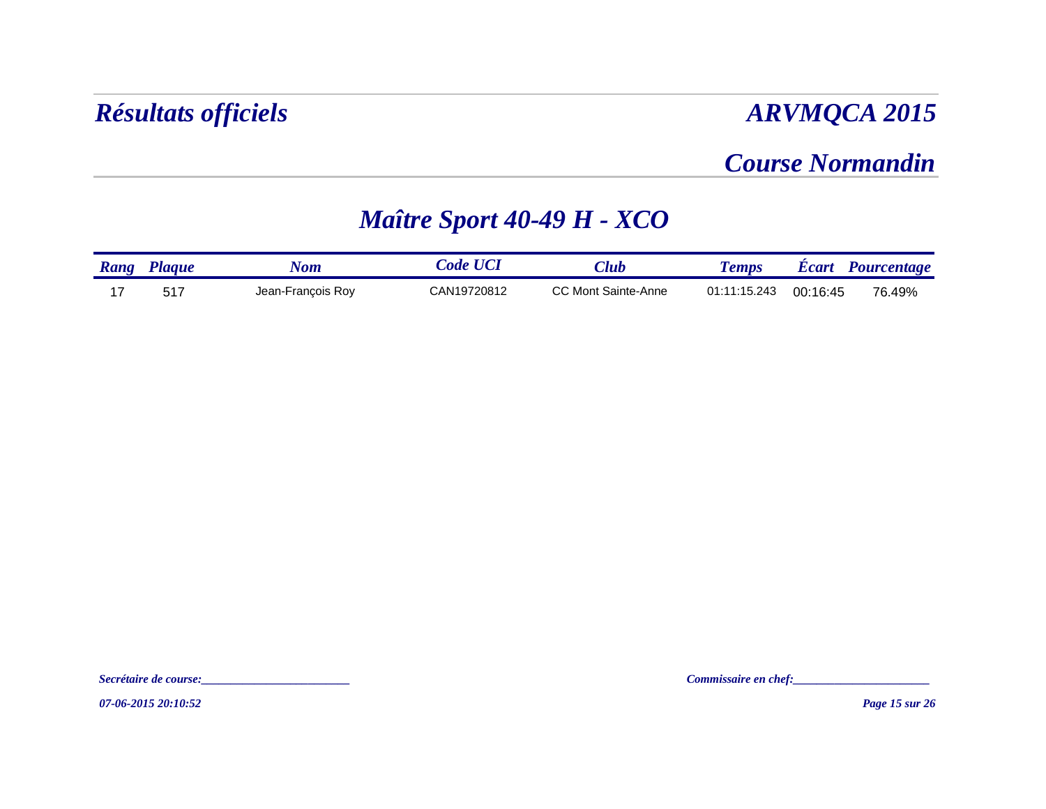### *Course Normandin*

## *Maître Sport 40-49 H - XCO*

| Rang | <b>Laque</b> | Nom               | ode         | $7$ lub                    | emps         | Ecart    | Pourcentage |
|------|--------------|-------------------|-------------|----------------------------|--------------|----------|-------------|
|      | ニィフ          | Jean-Francois Roy | CAN19720812 | <b>CC Mont Sainte-Anne</b> | 01:11:15.243 | 00:16:45 | 76.49%      |

*07-06-2015 20:10:52*

*Secrétaire de course:\_\_\_\_\_\_\_\_\_\_\_\_\_\_\_\_\_\_\_\_\_\_\_\_\_ Commissaire en chef:\_\_\_\_\_\_\_\_\_\_\_\_\_\_\_\_\_\_\_\_\_\_\_*

*Page 15 sur 26*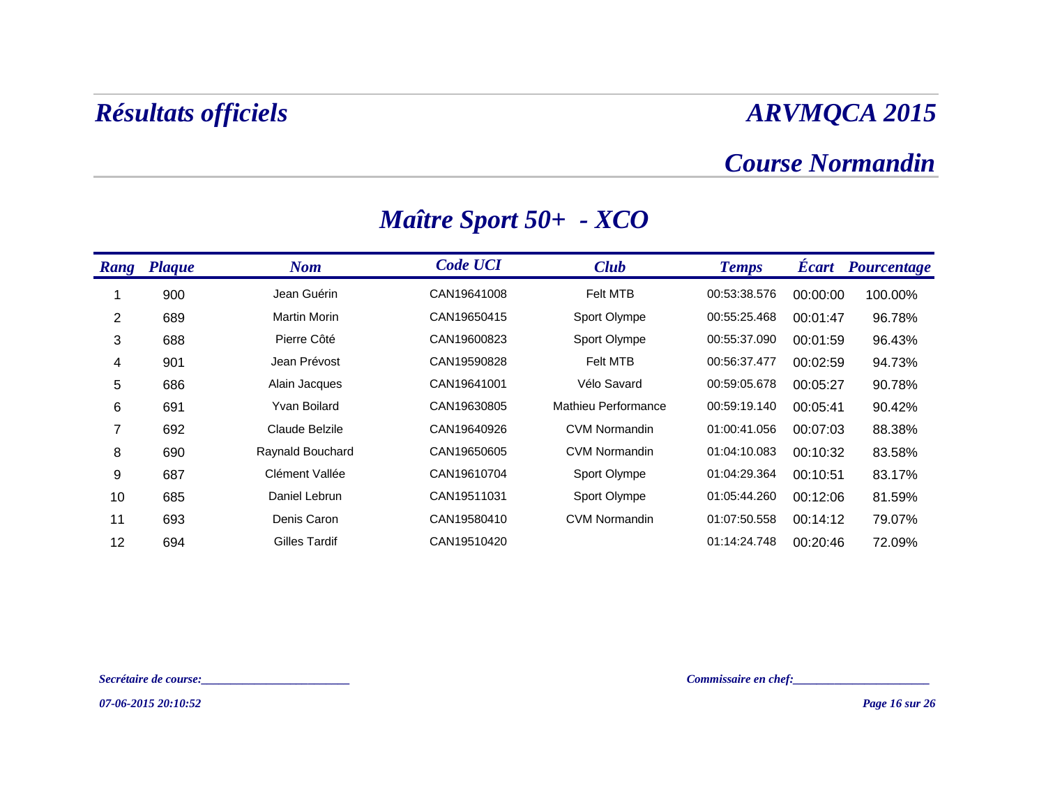### *Course Normandin*

| Rang | <b>Plaque</b> | <b>Nom</b>          | <b>Code UCI</b> | <b>Club</b>          | <b>Temps</b> | <b>Ecart</b> | Pourcentage |
|------|---------------|---------------------|-----------------|----------------------|--------------|--------------|-------------|
|      | 900           | Jean Guérin         | CAN19641008     | <b>Felt MTB</b>      | 00:53:38.576 | 00:00:00     | 100.00%     |
| 2    | 689           | <b>Martin Morin</b> | CAN19650415     | Sport Olympe         | 00:55:25.468 | 00:01:47     | 96.78%      |
| 3    | 688           | Pierre Côté         | CAN19600823     | Sport Olympe         | 00:55:37.090 | 00:01:59     | 96.43%      |
| 4    | 901           | Jean Prévost        | CAN19590828     | <b>Felt MTB</b>      | 00:56:37.477 | 00:02:59     | 94.73%      |
| 5    | 686           | Alain Jacques       | CAN19641001     | Vélo Savard          | 00:59:05.678 | 00:05:27     | 90.78%      |
| 6    | 691           | Yvan Boilard        | CAN19630805     | Mathieu Performance  | 00:59:19.140 | 00:05:41     | 90.42%      |
| 7    | 692           | Claude Belzile      | CAN19640926     | <b>CVM Normandin</b> | 01:00:41.056 | 00:07:03     | 88.38%      |
| 8    | 690           | Raynald Bouchard    | CAN19650605     | <b>CVM Normandin</b> | 01:04:10.083 | 00:10:32     | 83.58%      |
| 9    | 687           | Clément Vallée      | CAN19610704     | Sport Olympe         | 01:04:29.364 | 00:10:51     | 83.17%      |
| 10   | 685           | Daniel Lebrun       | CAN19511031     | Sport Olympe         | 01:05:44.260 | 00:12:06     | 81.59%      |
| 11   | 693           | Denis Caron         | CAN19580410     | <b>CVM Normandin</b> | 01:07:50.558 | 00:14:12     | 79.07%      |
| 12   | 694           | Gilles Tardif       | CAN19510420     |                      | 01:14:24.748 | 00:20:46     | 72.09%      |

## *Maître Sport 50+ - XCO*

*Secrétaire de course:\_\_\_\_\_\_\_\_\_\_\_\_\_\_\_\_\_\_\_\_\_\_\_\_\_ Commissaire en chef:\_\_\_\_\_\_\_\_\_\_\_\_\_\_\_\_\_\_\_\_\_\_\_*

*07-06-2015 20:10:52*

*Page 16 sur 26*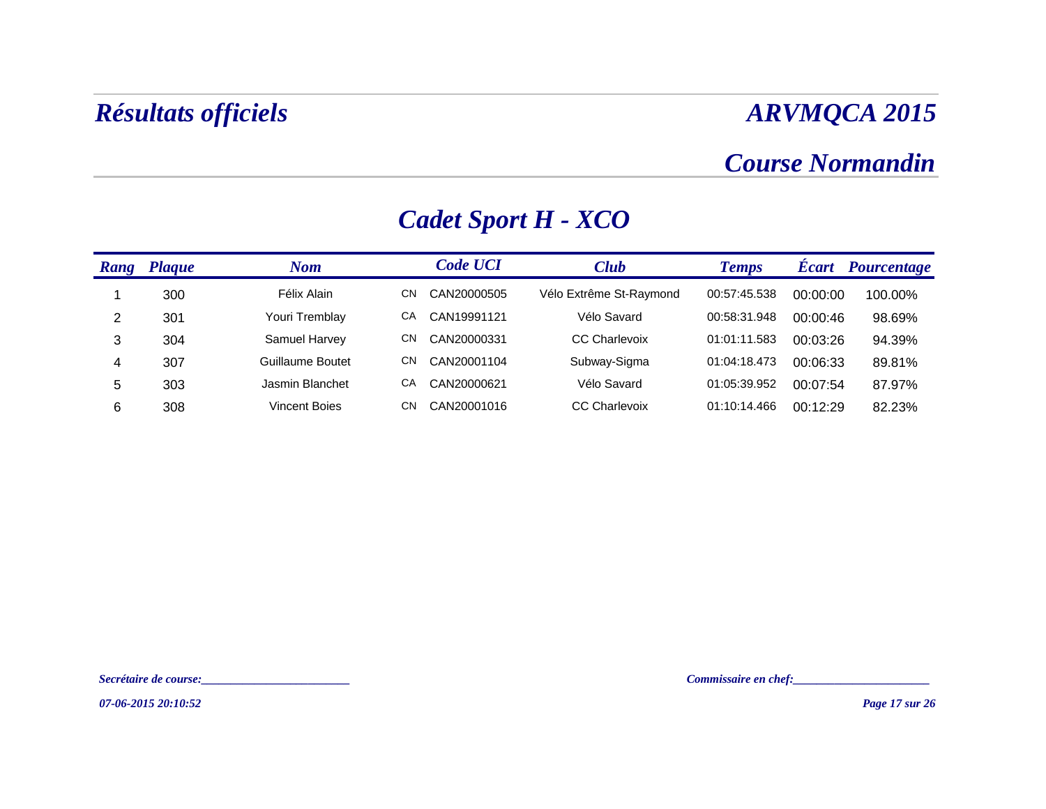### *Course Normandin*

| Rang | <b>Plaque</b> | <b>Nom</b>       |    | <b>Code UCI</b> | <b>Club</b>             | <b>Temps</b> | <b>Ecart</b> | <b>Pourcentage</b> |
|------|---------------|------------------|----|-----------------|-------------------------|--------------|--------------|--------------------|
|      | 300           | Félix Alain      | CΝ | CAN20000505     | Vélo Extrême St-Raymond | 00:57:45.538 | 00:00:00     | 100.00%            |
| 2    | 301           | Youri Tremblay   | CА | CAN19991121     | Vélo Savard             | 00:58:31.948 | 00:00:46     | 98.69%             |
| 3    | 304           | Samuel Harvey    | CΝ | CAN20000331     | <b>CC Charlevoix</b>    | 01:01:11.583 | 00:03:26     | 94.39%             |
| 4    | 307           | Guillaume Boutet | CΝ | CAN20001104     | Subway-Sigma            | 01:04:18.473 | 00:06:33     | 89.81%             |
| 5    | 303           | Jasmin Blanchet  | СA | CAN20000621     | Vélo Savard             | 01:05:39.952 | 00:07:54     | 87.97%             |
| 6    | 308           | Vincent Boies    | CΝ | CAN20001016     | <b>CC Charlevoix</b>    | 01:10:14.466 | 00:12:29     | 82.23%             |

# *Cadet Sport H - XCO*

*Secrétaire de course:\_\_\_\_\_\_\_\_\_\_\_\_\_\_\_\_\_\_\_\_\_\_\_\_\_ Commissaire en chef:\_\_\_\_\_\_\_\_\_\_\_\_\_\_\_\_\_\_\_\_\_\_\_*

*07-06-2015 20:10:52*

*Page 17 sur 26*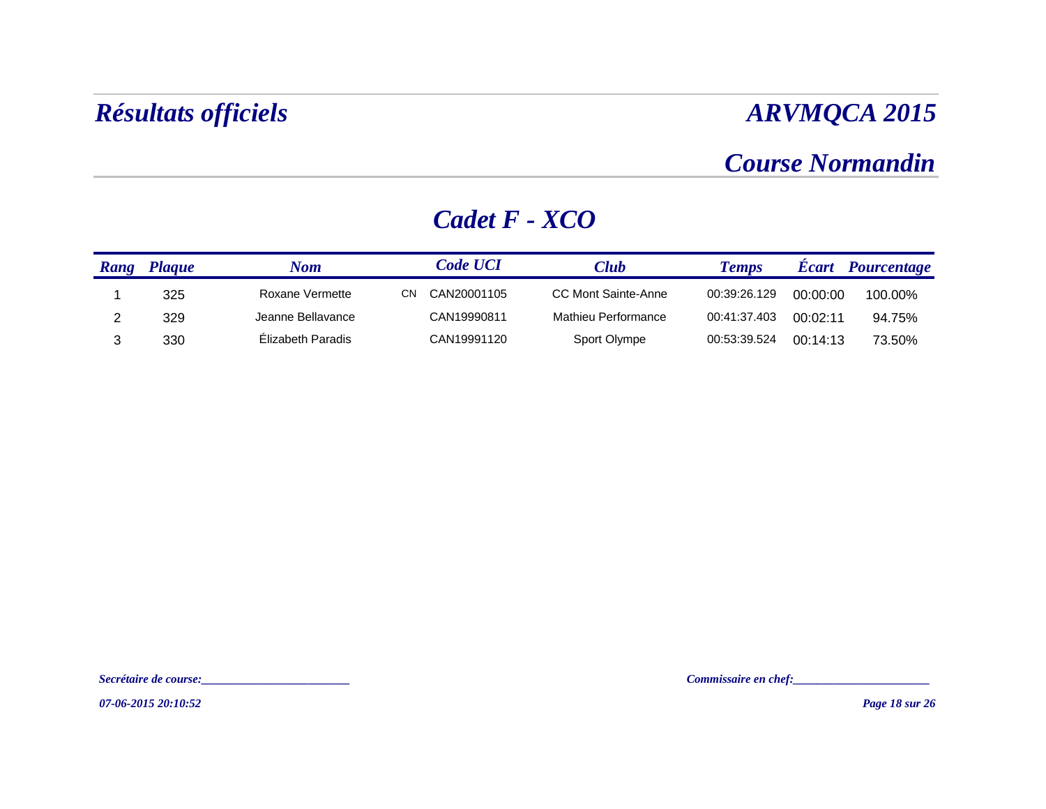### *Course Normandin*

#### *Rang Plaque Nom Code UCI**Club**Temps**Écart**Pourcentage* 1 325 Roxane Vermette CN CAN20001105 CC Mont Sainte-Anne 00:39:26.129 00:00:00 100.00%2 329 Jeanne Bellavance CAN19990811 Mathieu Performance 00:41:37.403 00:02:11 94.75%3330 Élizabeth Paradis CAN19991120 Sport Olympe 00:53:39.524 00:14:13 73.50%

#### *Cadet F - XCO*

Secrétaire de course:<br> $\blacksquare$ 

*07-06-2015 20:10:52*

*Page 18 sur 26*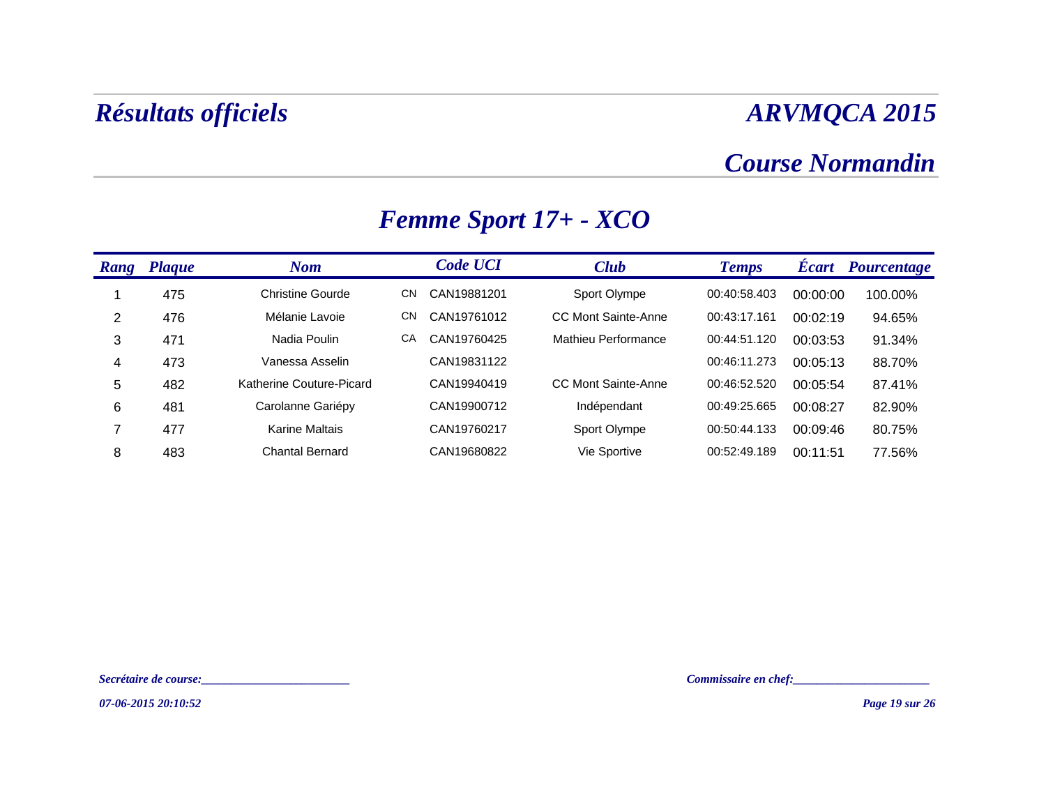### *Course Normandin*

| <b>Rang</b> | <b>Plaque</b> | <b>Nom</b>               |           | <b>Code UCI</b> | <b>Club</b>         | <b>Temps</b> | <b>Écart</b> | <b>Pourcentage</b> |
|-------------|---------------|--------------------------|-----------|-----------------|---------------------|--------------|--------------|--------------------|
|             | 475           | <b>Christine Gourde</b>  | CΝ        | CAN19881201     | Sport Olympe        | 00:40:58.403 | 00:00:00     | 100.00%            |
| 2           | 476           | Mélanie Lavoie           | <b>CN</b> | CAN19761012     | CC Mont Sainte-Anne | 00:43:17.161 | 00:02:19     | 94.65%             |
| 3           | 471           | Nadia Poulin             | CA        | CAN19760425     | Mathieu Performance | 00:44:51.120 | 00:03:53     | 91.34%             |
| 4           | 473           | Vanessa Asselin          |           | CAN19831122     |                     | 00:46:11.273 | 00:05:13     | 88.70%             |
| 5           | 482           | Katherine Couture-Picard |           | CAN19940419     | CC Mont Sainte-Anne | 00:46:52.520 | 00:05:54     | 87.41%             |
| 6           | 481           | Carolanne Gariépy        |           | CAN19900712     | Indépendant         | 00:49:25.665 | 00:08:27     | 82.90%             |
| 7           | 477           | Karine Maltais           |           | CAN19760217     | Sport Olympe        | 00:50:44.133 | 00:09:46     | 80.75%             |
| 8           | 483           | <b>Chantal Bernard</b>   |           | CAN19680822     | Vie Sportive        | 00:52:49.189 | 00:11:51     | 77.56%             |

## *Femme Sport 17+ - XCO*

*Secrétaire de course:\_\_\_\_\_\_\_\_\_\_\_\_\_\_\_\_\_\_\_\_\_\_\_\_\_ Commissaire en chef:\_\_\_\_\_\_\_\_\_\_\_\_\_\_\_\_\_\_\_\_\_\_\_*

*07-06-2015 20:10:52*

*Page 19 sur 26*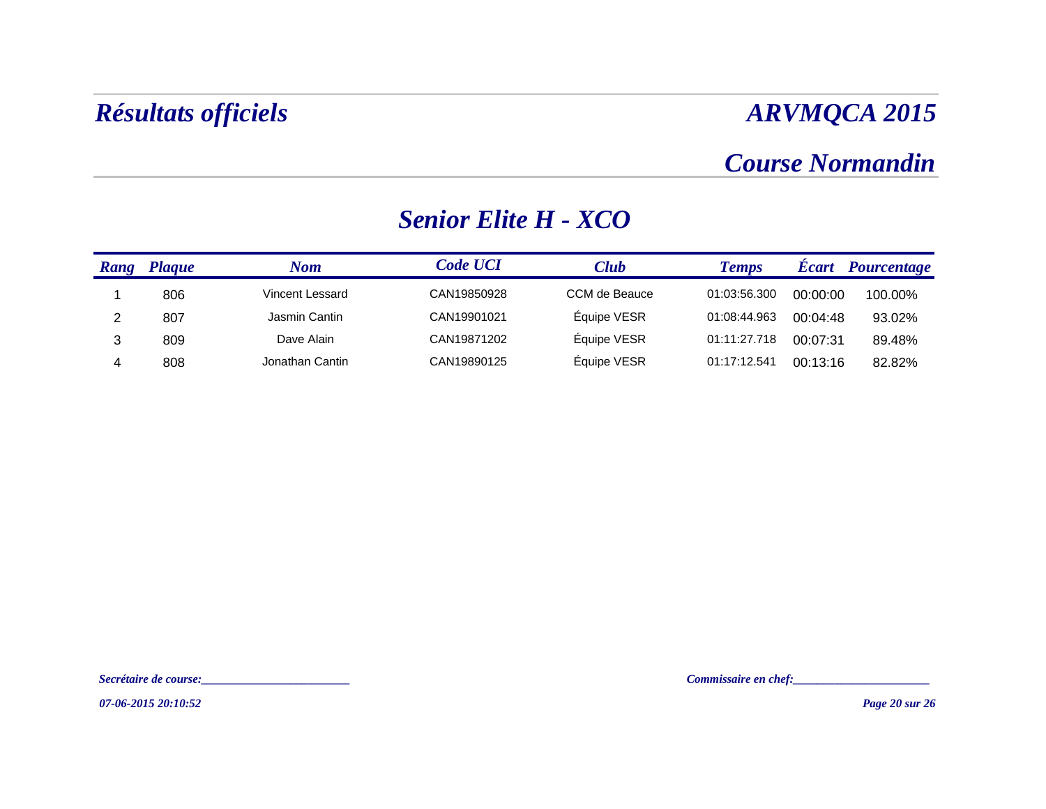### *Course Normandin*

#### *Rang Plaque Nom Code UCI**Club**Temps**Écart**Pourcentage* 1 806 Vincent Lessard CAN19850928 CCM de Beauce 01:03:56.300 00:00:00 100.00%2 807 Jasmin Cantin CAN19901021 Équipe VESR 01:08:44.963 00:04:48 93.02% 3 809 Dave Alain CAN19871202 Équipe VESR 01:11:27.718 00:07:31 89.48% 4808 Jonathan Cantin CAN19890125 Équipe VESR 01:17:12.541 00:13:16 82.82%

#### *Senior Elite H - XCO*

Secrétaire de course:<br> $\blacksquare$ 

*07-06-2015 20:10:52*

*Page 20 sur 26*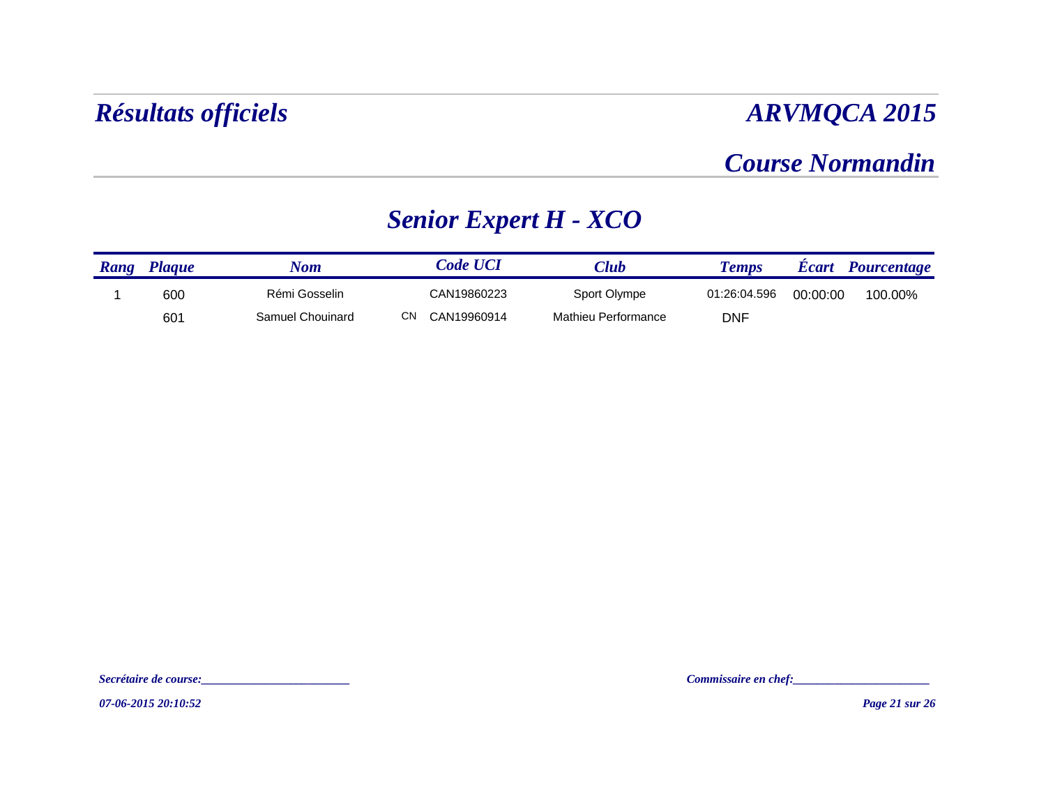### *Course Normandin*

# *Senior Expert H - XCO*

| Rang | <b>Plaque</b> | Nom              | <b>Code UCI</b>    | $\mathbb{C}$ lu $b$ | <b>Temps</b> |          | <b>Ecart</b> Pourcentage |
|------|---------------|------------------|--------------------|---------------------|--------------|----------|--------------------------|
|      | 600           | Rémi Gosselin    | CAN19860223        | Sport Olympe        | 01:26:04.596 | 00:00:00 | 100.00%                  |
|      | 601           | Samuel Chouinard | CN.<br>CAN19960914 | Mathieu Performance | <b>DNF</b>   |          |                          |

*Secrétaire de course:\_\_\_\_\_\_\_\_\_\_\_\_\_\_\_\_\_\_\_\_\_\_\_\_\_ Commissaire en chef:\_\_\_\_\_\_\_\_\_\_\_\_\_\_\_\_\_\_\_\_\_\_\_*

*07-06-2015 20:10:52*

*Page 21 sur 26*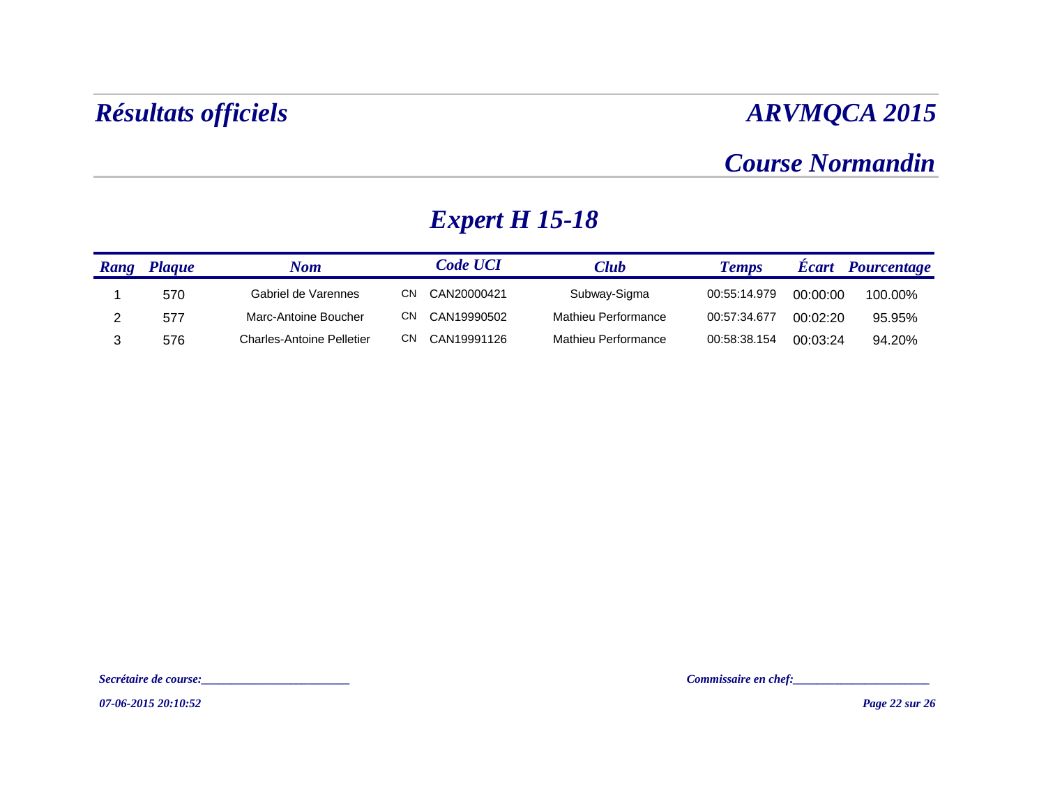### *Course Normandin*

# *Expert H 15-18*

| Rang | <b>Plaque</b> | Nom                              |     | <i><b>Code UCI</b></i> | Club                | <b>Temps</b> | <b>Ecart</b> | Pourcentage |
|------|---------------|----------------------------------|-----|------------------------|---------------------|--------------|--------------|-------------|
|      | 570           | Gabriel de Varennes              | CN. | CAN20000421            | Subway-Sigma        | 00:55:14.979 | 00:00:00     | 100.00%     |
|      | 577           | Marc-Antoine Boucher             | CN. | CAN19990502            | Mathieu Performance | 00:57:34.677 | 00:02:20     | 95.95%      |
|      | 576           | <b>Charles-Antoine Pelletier</b> | CN. | CAN19991126            | Mathieu Performance | 00:58:38.154 | 00:03:24     | 94.20%      |

*Secrétaire de course:\_\_\_\_\_\_\_\_\_\_\_\_\_\_\_\_\_\_\_\_\_\_\_\_\_ Commissaire en chef:\_\_\_\_\_\_\_\_\_\_\_\_\_\_\_\_\_\_\_\_\_\_\_*

*07-06-2015 20:10:52*

*Page 22 sur 26*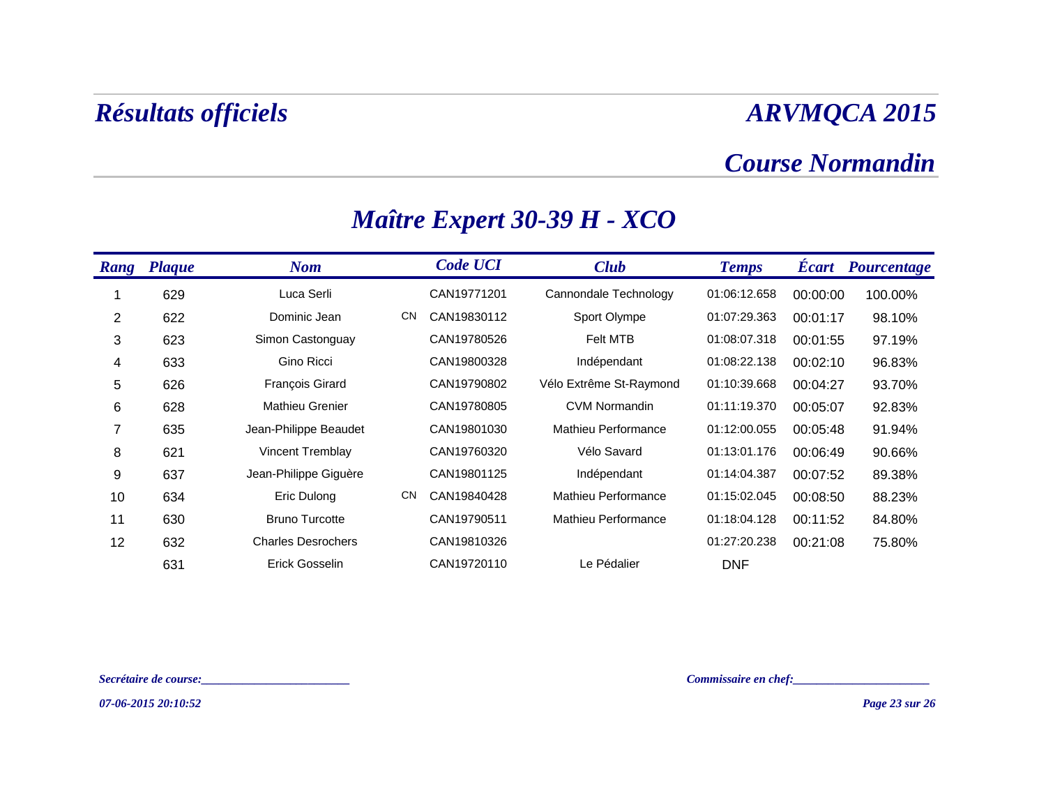### *Course Normandin*

| Rang | <b>Plaque</b> | <b>Nom</b>                |           | <b>Code UCI</b> | <b>Club</b>             | <b>Temps</b> | <b>Ecart</b> | Pourcentage |
|------|---------------|---------------------------|-----------|-----------------|-------------------------|--------------|--------------|-------------|
|      | 629           | Luca Serli                |           | CAN19771201     | Cannondale Technology   | 01:06:12.658 | 00:00:00     | 100.00%     |
| 2    | 622           | Dominic Jean              | <b>CN</b> | CAN19830112     | Sport Olympe            | 01:07:29.363 | 00:01:17     | 98.10%      |
| 3    | 623           | Simon Castonguay          |           | CAN19780526     | <b>Felt MTB</b>         | 01:08:07.318 | 00:01:55     | 97.19%      |
| 4    | 633           | Gino Ricci                |           | CAN19800328     | Indépendant             | 01:08:22.138 | 00:02:10     | 96.83%      |
| 5    | 626           | <b>François Girard</b>    |           | CAN19790802     | Vélo Extrême St-Raymond | 01:10:39.668 | 00:04:27     | 93.70%      |
| 6    | 628           | <b>Mathieu Grenier</b>    |           | CAN19780805     | <b>CVM Normandin</b>    | 01:11:19.370 | 00:05:07     | 92.83%      |
| 7    | 635           | Jean-Philippe Beaudet     |           | CAN19801030     | Mathieu Performance     | 01:12:00.055 | 00:05:48     | 91.94%      |
| 8    | 621           | Vincent Tremblay          |           | CAN19760320     | Vélo Savard             | 01:13:01.176 | 00:06:49     | 90.66%      |
| 9    | 637           | Jean-Philippe Giguère     |           | CAN19801125     | Indépendant             | 01:14:04.387 | 00:07:52     | 89.38%      |
| 10   | 634           | Eric Dulong               | <b>CN</b> | CAN19840428     | Mathieu Performance     | 01:15:02.045 | 00:08:50     | 88.23%      |
| 11   | 630           | <b>Bruno Turcotte</b>     |           | CAN19790511     | Mathieu Performance     | 01:18:04.128 | 00:11:52     | 84.80%      |
| 12   | 632           | <b>Charles Desrochers</b> |           | CAN19810326     |                         | 01:27:20.238 | 00:21:08     | 75.80%      |
|      | 631           | Erick Gosselin            |           | CAN19720110     | Le Pédalier             | <b>DNF</b>   |              |             |

## *Maître Expert 30-39 H - XCO*

*Secrétaire de course:\_\_\_\_\_\_\_\_\_\_\_\_\_\_\_\_\_\_\_\_\_\_\_\_\_ Commissaire en chef:\_\_\_\_\_\_\_\_\_\_\_\_\_\_\_\_\_\_\_\_\_\_\_*

*07-06-2015 20:10:52*

*Page 23 sur 26*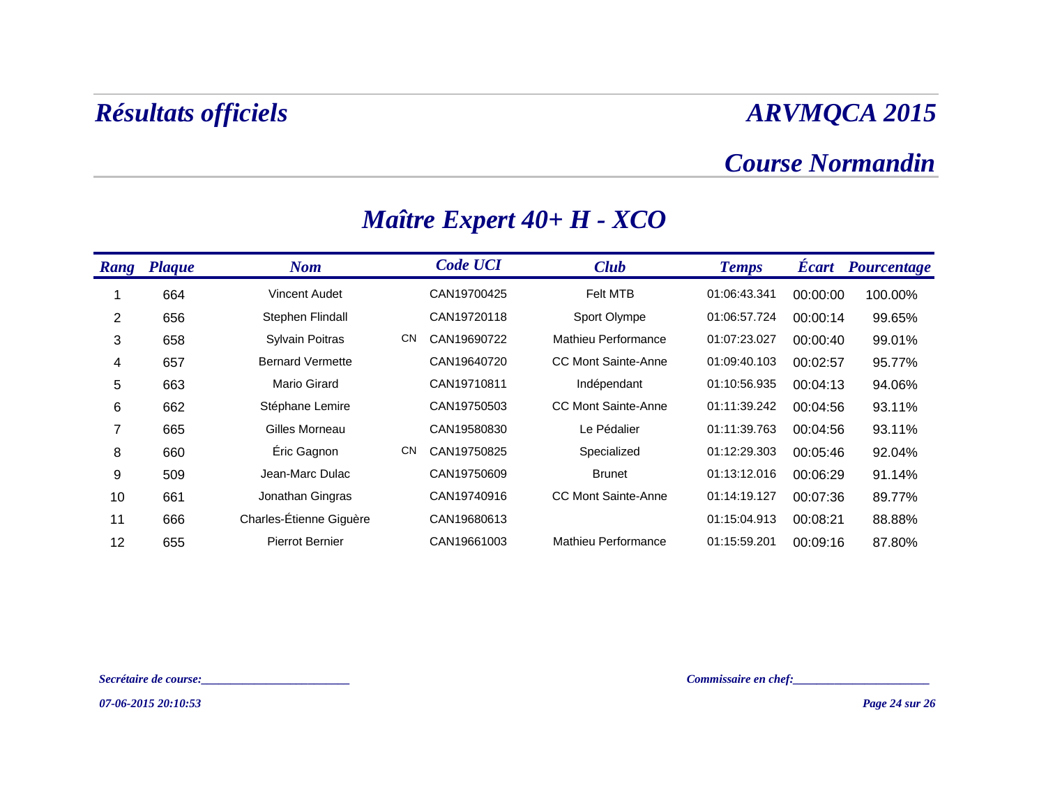### *Course Normandin*

| <b>Rang</b> | <b>Plaque</b> | <b>Nom</b>              |           | <b>Code UCI</b> | <b>Club</b>                | <b>Temps</b> | <b>Ecart</b> | <b>Pourcentage</b> |
|-------------|---------------|-------------------------|-----------|-----------------|----------------------------|--------------|--------------|--------------------|
|             | 664           | <b>Vincent Audet</b>    |           | CAN19700425     | <b>Felt MTB</b>            | 01:06:43.341 | 00:00:00     | 100.00%            |
| 2           | 656           | Stephen Flindall        |           | CAN19720118     | Sport Olympe               | 01:06:57.724 | 00:00:14     | 99.65%             |
| 3           | 658           | Sylvain Poitras         | <b>CN</b> | CAN19690722     | Mathieu Performance        | 01:07:23.027 | 00:00:40     | 99.01%             |
| 4           | 657           | <b>Bernard Vermette</b> |           | CAN19640720     | <b>CC Mont Sainte-Anne</b> | 01:09:40.103 | 00:02:57     | 95.77%             |
| 5           | 663           | Mario Girard            |           | CAN19710811     | Indépendant                | 01:10:56.935 | 00:04:13     | 94.06%             |
| 6           | 662           | Stéphane Lemire         |           | CAN19750503     | <b>CC Mont Sainte-Anne</b> | 01:11:39.242 | 00:04:56     | 93.11%             |
| 7           | 665           | Gilles Morneau          |           | CAN19580830     | Le Pédalier                | 01:11:39.763 | 00:04:56     | 93.11%             |
| 8           | 660           | Éric Gagnon             | <b>CN</b> | CAN19750825     | Specialized                | 01:12:29.303 | 00:05:46     | 92.04%             |
| 9           | 509           | Jean-Marc Dulac         |           | CAN19750609     | <b>Brunet</b>              | 01:13:12.016 | 00:06:29     | 91.14%             |
| 10          | 661           | Jonathan Gingras        |           | CAN19740916     | <b>CC Mont Sainte-Anne</b> | 01:14:19.127 | 00:07:36     | 89.77%             |
| 11          | 666           | Charles-Étienne Giguère |           | CAN19680613     |                            | 01:15:04.913 | 00:08:21     | 88.88%             |
| 12          | 655           | <b>Pierrot Bernier</b>  |           | CAN19661003     | Mathieu Performance        | 01:15:59.201 | 00:09:16     | 87.80%             |

## *Maître Expert 40+ H - XCO*

*Secrétaire de course:\_\_\_\_\_\_\_\_\_\_\_\_\_\_\_\_\_\_\_\_\_\_\_\_\_ Commissaire en chef:\_\_\_\_\_\_\_\_\_\_\_\_\_\_\_\_\_\_\_\_\_\_\_*

*07-06-2015 20:10:53*

*Page 24 sur 26*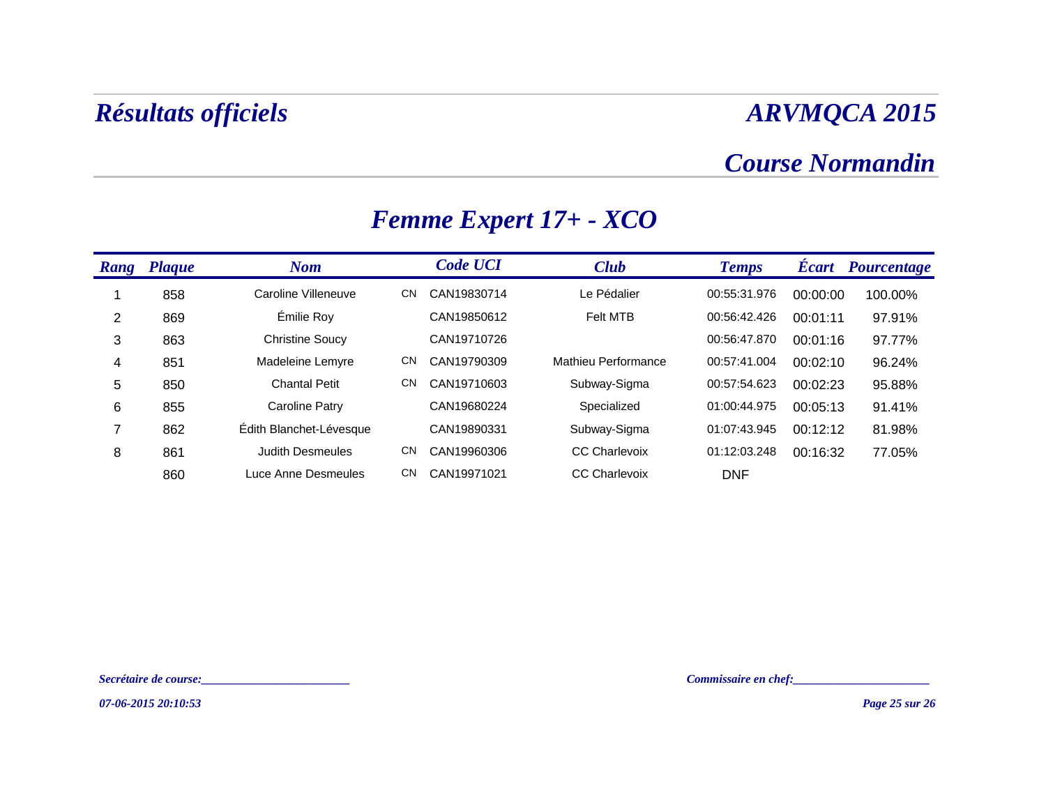### *Course Normandin*

| Rang | <b>Plaque</b> | <b>Nom</b>              |           | <b>Code UCI</b> | <b>Club</b>          | <b>Temps</b> | <b>Ecart</b> | <b>Pourcentage</b> |
|------|---------------|-------------------------|-----------|-----------------|----------------------|--------------|--------------|--------------------|
|      | 858           | Caroline Villeneuve     | <b>CN</b> | CAN19830714     | Le Pédalier          | 00:55:31.976 | 00:00:00     | 100.00%            |
| 2    | 869           | Émilie Roy              |           | CAN19850612     | Felt MTB             | 00:56:42.426 | 00:01:11     | 97.91%             |
| 3    | 863           | <b>Christine Soucy</b>  |           | CAN19710726     |                      | 00:56:47.870 | 00:01:16     | 97.77%             |
| 4    | 851           | Madeleine Lemyre        | <b>CN</b> | CAN19790309     | Mathieu Performance  | 00:57:41.004 | 00:02:10     | 96.24%             |
| 5    | 850           | <b>Chantal Petit</b>    | <b>CN</b> | CAN19710603     | Subway-Sigma         | 00:57:54.623 | 00:02:23     | 95.88%             |
| 6    | 855           | Caroline Patry          |           | CAN19680224     | Specialized          | 01:00:44.975 | 00:05:13     | 91.41%             |
| ⇁    | 862           | Édith Blanchet-Lévesque |           | CAN19890331     | Subway-Sigma         | 01:07:43.945 | 00:12:12     | 81.98%             |
| 8    | 861           | <b>Judith Desmeules</b> | <b>CN</b> | CAN19960306     | <b>CC Charlevoix</b> | 01:12:03.248 | 00:16:32     | 77.05%             |
|      | 860           | Luce Anne Desmeules     | <b>CN</b> | CAN19971021     | <b>CC Charlevoix</b> | <b>DNF</b>   |              |                    |

## *Femme Expert 17+ - XCO*

*07-06-2015 20:10:53*

*Secrétaire de course:\_\_\_\_\_\_\_\_\_\_\_\_\_\_\_\_\_\_\_\_\_\_\_\_\_ Commissaire en chef:\_\_\_\_\_\_\_\_\_\_\_\_\_\_\_\_\_\_\_\_\_\_\_*